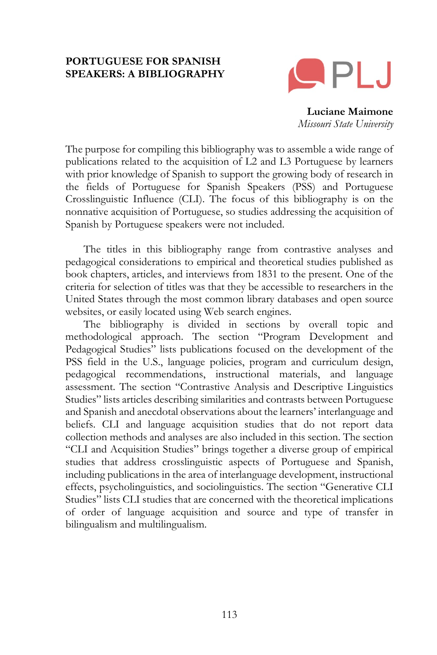#### **PORTUGUESE FOR SPANISH SPEAKERS: A BIBLIOGRAPHY**



**Luciane Maimone** *Missouri State University*

The purpose for compiling this bibliography was to assemble a wide range of publications related to the acquisition of L2 and L3 Portuguese by learners with prior knowledge of Spanish to support the growing body of research in the fields of Portuguese for Spanish Speakers (PSS) and Portuguese Crosslinguistic Influence (CLI). The focus of this bibliography is on the nonnative acquisition of Portuguese, so studies addressing the acquisition of Spanish by Portuguese speakers were not included.

The titles in this bibliography range from contrastive analyses and pedagogical considerations to empirical and theoretical studies published as book chapters, articles, and interviews from 1831 to the present. One of the criteria for selection of titles was that they be accessible to researchers in the United States through the most common library databases and open source websites, or easily located using Web search engines.

The bibliography is divided in sections by overall topic and methodological approach. The section "Program Development and Pedagogical Studies" lists publications focused on the development of the PSS field in the U.S., language policies, program and curriculum design, pedagogical recommendations, instructional materials, and language assessment. The section "Contrastive Analysis and Descriptive Linguistics Studies" lists articles describing similarities and contrasts between Portuguese and Spanish and anecdotal observations about the learners' interlanguage and beliefs. CLI and language acquisition studies that do not report data collection methods and analyses are also included in this section. The section "CLI and Acquisition Studies" brings together a diverse group of empirical studies that address crosslinguistic aspects of Portuguese and Spanish, including publications in the area of interlanguage development, instructional effects, psycholinguistics, and sociolinguistics. The section "Generative CLI Studies" lists CLI studies that are concerned with the theoretical implications of order of language acquisition and source and type of transfer in bilingualism and multilingualism.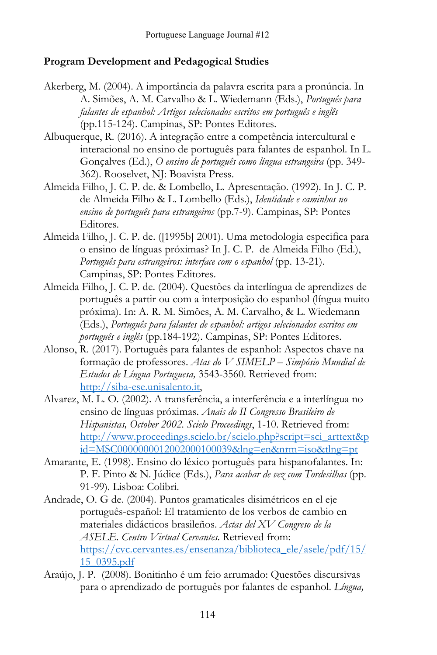#### **Program Development and Pedagogical Studies**

- Akerberg, M. (2004). A importância da palavra escrita para a pronúncia. In A. Simões, A. M. Carvalho & L. Wiedemann (Eds.), *Português para falantes de espanhol: Artigos selecionados escritos em português e inglês* (pp.115-124). Campinas, SP: Pontes Editores.
- Albuquerque, R. (2016). A integração entre a competência intercultural e interacional no ensino de português para falantes de espanhol. In L. Gonçalves (Ed.), *O ensino de português como língua estrangeira* (pp. 349- 362). Rooselvet, NJ: Boavista Press.
- Almeida Filho, J. C. P. de. & Lombello, L. Apresentação. (1992). In J. C. P. de Almeida Filho & L. Lombello (Eds.), *Identidade e caminhos no ensino de português para estrangeiros* (pp.7-9). Campinas, SP: Pontes Editores.
- Almeida Filho, J. C. P. de. ([1995b] 2001). Uma metodologia especifica para o ensino de línguas próximas? In J. C. P. de Almeida Filho (Ed.), *Português para estrangeiros: interface com o espanhol* (pp. 13-21). Campinas, SP: Pontes Editores.
- Almeida Filho, J. C. P. de. (2004). Questões da interlíngua de aprendizes de português a partir ou com a interposição do espanhol (língua muito próxima). In: A. R. M. Simões, A. M. Carvalho, & L. Wiedemann (Eds.), *Português para falantes de espanhol: artigos selecionados escritos em português e inglês* (pp.184-192). Campinas, SP: Pontes Editores.
- Alonso, R. (2017). Português para falantes de espanhol: Aspectos chave na formação de professores. *Atas do V SIMELP – Simpósio Mundial de Estudos de Língua Portuguesa,* 3543-3560. Retrieved from: [http://siba-ese.unisalento.it,](http://siba-ese.unisalento.it/)
- Alvarez, M. L. O*.* (2002). A transferência, a interferência e a interlíngua no ensino de línguas próximas. *Anais do II Congresso Brasileiro de Hispanistas, October 2002. Scielo Proceedings*, 1-10. Retrieved from: [http://www.proceedings.scielo.br/scielo.php?script=sci\\_arttext&p](http://www.proceedings.scielo.br/scielo.php?script=sci_arttext&pid=MSC0000000012002000100039&lng=en&nrm=iso&tlng=pt) [id=MSC0000000012002000100039&lng=en&nrm=iso&tlng=pt](http://www.proceedings.scielo.br/scielo.php?script=sci_arttext&pid=MSC0000000012002000100039&lng=en&nrm=iso&tlng=pt)
- Amarante, E. (1998). Ensino do léxico português para hispanofalantes. In: P. F. Pinto & N. Júdice (Eds.), *Para acabar de vez com Tordesilhas* (pp. 91-99)*.* Lisboa: Colibri.
- Andrade, O. G de. (2004). Puntos gramaticales disimétricos en el eje português-español: El tratamiento de los verbos de cambio en materiales didácticos brasileños. *Actas del XV Congreso de la ASELE. Centro Virtual Cervantes*. Retrieved from: [https://cvc.cervantes.es/ensenanza/biblioteca\\_ele/asele/pdf/15/](https://cvc.cervantes.es/ensenanza/biblioteca_ele/asele/pdf/15/15_0395.pdf) [15\\_0395.pdf](https://cvc.cervantes.es/ensenanza/biblioteca_ele/asele/pdf/15/15_0395.pdf)
- Araújo, J. P. (2008). Bonitinho é um feio arrumado: Questões discursivas para o aprendizado de português por falantes de espanhol. *Língua,*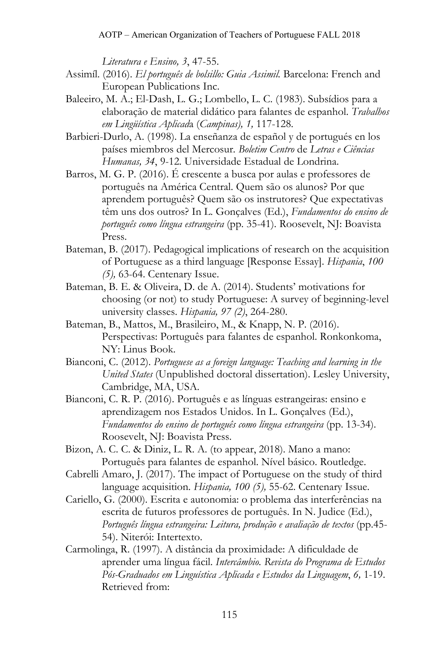*Literatura e Ensino, 3*, 47-55.

- Assimíl. (2016). *El português de bolsillo: Guia Assimil.* Barcelona: French and European Publications Inc.
- Baleeiro, M. A.; El-Dash, L. G.; Lombello, L. C. (1983). Subsídios para a elaboração de material didático para falantes de espanhol. *Trabalhos em Lingüística Aplicad*a (*Campinas), 1,* 117-128.
- Barbieri-Durlo, A. (1998). La enseñanza de español y de portugués en los países miembros del Mercosur*. Boletim Centro* de *Letras e Ciências Humanas, 34*, 9-12*.* Universidade Estadual de Londrina.
- Barros, M. G. P. (2016). É crescente a busca por aulas e professores de português na América Central. Quem são os alunos? Por que aprendem português? Quem são os instrutores? Que expectativas têm uns dos outros? In L. Gonçalves (Ed.), *Fundamentos do ensino de português como língua estrangeira* (pp. 35-41). Roosevelt, NJ: Boavista Press.
- Bateman, B. (2017). Pedagogical implications of research on the acquisition of Portuguese as a third language [Response Essay]. *Hispania*, *100 (5),* 63-64. Centenary Issue.
- Bateman, B. E. & Oliveira, D. de A. (2014). Students' motivations for choosing (or not) to study Portuguese: A survey of beginning-level university classes. *Hispania, 97 (2)*, 264-280.
- Bateman, B., Mattos, M., Brasileiro, M., & Knapp, N. P. (2016). Perspectivas: Português para falantes de espanhol. Ronkonkoma, NY: Linus Book.
- Bianconi, C. (2012). *Portuguese as a foreign language: Teaching and learning in the United States* (Unpublished doctoral dissertation). Lesley University, Cambridge, MA, USA.
- Bianconi, C. R. P. (2016). Português e as línguas estrangeiras: ensino e aprendizagem nos Estados Unidos. In L. Gonçalves (Ed.), *Fundamentos do ensino de português como língua estrangeira* (pp. 13-34). Roosevelt, NJ: Boavista Press.
- Bizon, A. C. C. & Diniz, L. R. A. (to appear, 2018). Mano a mano: Português para falantes de espanhol. Nível básico. Routledge.
- Cabrelli Amaro, J. (2017). The impact of Portuguese on the study of third language acquisition. *Hispania, 100 (5),* 55-62. Centenary Issue.
- Cariello, G. (2000). Escrita e autonomia: o problema das interferências na escrita de futuros professores de português. In N. Judice (Ed.), *Português língua estrangeira: Leitura, produção e avaliação de textos* (pp.45- 54). Niterói: Intertexto.
- Carmolinga, R. (1997). A distância da proximidade: A dificuldade de aprender uma língua fácil. *Intercâmbio. Revista do Programa de Estudos Pós-Graduados em Linguística Aplicada e Estudos da Linguagem*, *6,* 1-19. Retrieved from: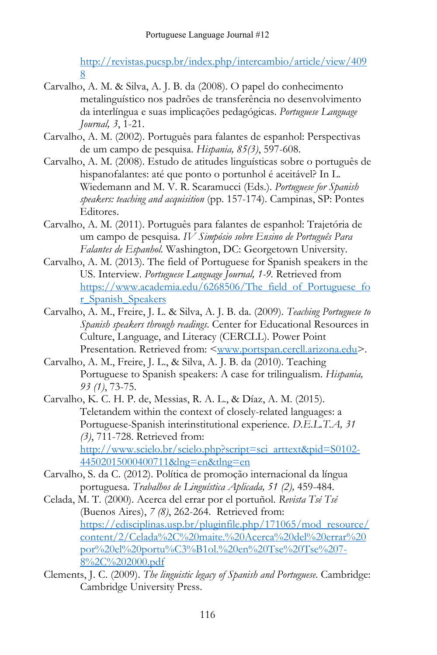[http://revistas.pucsp.br/index.php/intercambio/article/view/409](http://revistas.pucsp.br/index.php/intercambio/article/view/4098) [8](http://revistas.pucsp.br/index.php/intercambio/article/view/4098)

- Carvalho, A. M. & Silva, A. J. B. da (2008). O papel do conhecimento metalinguístico nos padrões de transferência no desenvolvimento da interlíngua e suas implicações pedagógicas. *Portuguese Language Journal, 3*, 1-21.
- Carvalho, A. M. (2002). Português para falantes de espanhol: Perspectivas de um campo de pesquisa. *Hispania, 85(3)*, 597-608.
- Carvalho, A. M. (2008). Estudo de atitudes linguísticas sobre o português de hispanofalantes: até que ponto o portunhol é aceitável? In L. Wiedemann and M. V. R. Scaramucci (Eds.). *Portuguese for Spanish speakers: teaching and acquisition* (pp. 157-174). Campinas, SP: Pontes Editores.
- Carvalho, A. M. (2011). Português para falantes de espanhol: Trajetória de um campo de pesquisa. *IV Simpósio sobre Ensino de Português Para Falantes de Espanhol.* Washington, DC: Georgetown University.
- Carvalho, A. M. (2013). The field of Portuguese for Spanish speakers in the US. Interview. *Portuguese Language Journal, 1-9.* Retrieved from [https://www.academia.edu/6268506/The\\_field\\_of\\_Portuguese\\_fo](https://www.academia.edu/6268506/The_field_of_Portuguese_for_Spanish_Speakers) [r\\_Spanish\\_Speakers](https://www.academia.edu/6268506/The_field_of_Portuguese_for_Spanish_Speakers)
- Carvalho, A. M., Freire, J. L. & Silva, A. J. B. da. (2009). *Teaching Portuguese to Spanish speakers through readings*. Center for Educational Resources in Culture, Language, and Literacy (CERCLL). Power Point Presentation. Retrieved from: [<www.portspan.cercll.arizona.edu>](http://www.portspan.cercll.arizona.edu/).
- Carvalho, A. M., Freire, J. L., & Silva, A. J. B. da (2010). Teaching Portuguese to Spanish speakers: A case for trilingualism. *Hispania, 93 (1)*, 73-75.
- Carvalho, K. C. H. P. de, Messias, R. A. L., & Díaz, A. M. (2015). Teletandem within the context of closely-related languages: a Portuguese-Spanish interinstitutional experience. *D.E.L.T.A, 31 (3)*, 711-728. Retrieved from: [http://www.scielo.br/scielo.php?script=sci\\_arttext&pid=S0102-](http://www.scielo.br/scielo.php?script=sci_arttext&pid=S0102-44502015000400711&lng=en&tlng=en)

[44502015000400711&lng=en&tlng=en](http://www.scielo.br/scielo.php?script=sci_arttext&pid=S0102-44502015000400711&lng=en&tlng=en)

- Carvalho, S. da C. (2012). Política de promoção internacional da língua portuguesa. *Trabalhos de Linguística Aplicada, 51 (2),* 459-484.
- Celada, M. T. (2000). Acerca del errar por el portuñol. *Revista Tsé Tsé* (Buenos Aires), *7 (8)*, 262-264. Retrieved from: [https://edisciplinas.usp.br/pluginfile.php/171065/mod\\_resource/](https://edisciplinas.usp.br/pluginfile.php/171065/mod_resource/content/2/Celada%2C%20maite.%20Acerca%20del%20errar%20por%20el%20portu%C3%B1ol.%20en%20Tse%20Tse%207-8%2C%202000.pdf) [content/2/Celada%2C%20maite.%20Acerca%20del%20errar%20](https://edisciplinas.usp.br/pluginfile.php/171065/mod_resource/content/2/Celada%2C%20maite.%20Acerca%20del%20errar%20por%20el%20portu%C3%B1ol.%20en%20Tse%20Tse%207-8%2C%202000.pdf) [por%20el%20portu%C3%B1ol.%20en%20Tse%20Tse%207-](https://edisciplinas.usp.br/pluginfile.php/171065/mod_resource/content/2/Celada%2C%20maite.%20Acerca%20del%20errar%20por%20el%20portu%C3%B1ol.%20en%20Tse%20Tse%207-8%2C%202000.pdf) [8%2C%202000.pdf](https://edisciplinas.usp.br/pluginfile.php/171065/mod_resource/content/2/Celada%2C%20maite.%20Acerca%20del%20errar%20por%20el%20portu%C3%B1ol.%20en%20Tse%20Tse%207-8%2C%202000.pdf)
- Clements, J. C. (2009). *The linguistic legacy of Spanish and Portuguese*. Cambridge: Cambridge University Press.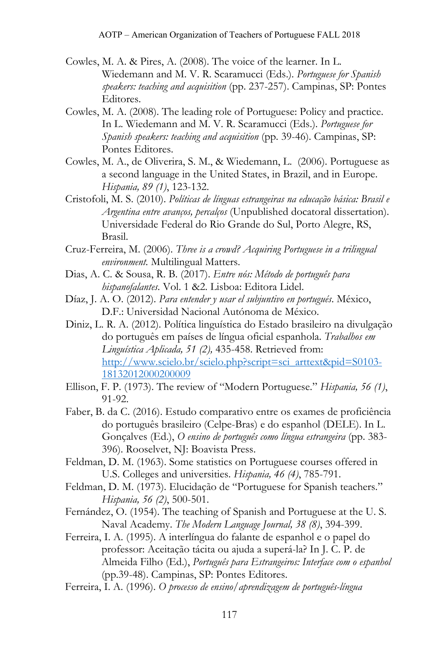- Cowles, M. A. & Pires, A. (2008). The voice of the learner. In L. Wiedemann and M. V. R. Scaramucci (Eds.). *Portuguese for Spanish speakers: teaching and acquisition* (pp. 237-257). Campinas, SP: Pontes Editores.
- Cowles, M. A. (2008). The leading role of Portuguese: Policy and practice. In L. Wiedemann and M. V. R. Scaramucci (Eds.). *Portuguese for Spanish speakers: teaching and acquisition* (pp. 39-46). Campinas, SP: Pontes Editores.
- Cowles, M. A., de Oliverira, S. M., & Wiedemann, L. (2006). Portuguese as a second language in the United States, in Brazil, and in Europe. *Hispania, 89 (1)*, 123-132.
- Cristofoli, M. S. (2010). *Políticas de línguas estrangeiras na educação básica: Brasil e Argentina entre avanços, percalços* (Unpublished docatoral dissertation). Universidade Federal do Rio Grande do Sul, Porto Alegre, RS, Brasil.
- Cruz-Ferreira, M. (2006). *Three is a crowd? Acquiring Portuguese in a trilingual environment.* Multilingual Matters.
- Dias, A. C. & Sousa, R. B. (2017). *Entre nós: Método de português para hispanofalantes*. Vol. 1 &2. Lisboa: Editora Lidel.
- Díaz, J. A. O. (2012). *Para entender y usar el subjuntivo en portugués*. México, D.F.: Universidad Nacional Autónoma de México.
- Diniz, L. R. A. (2012). Política linguística do Estado brasileiro na divulgação do português em países de língua oficial espanhola. *Trabalhos em Linguística Aplicada, 51 (2),* 435-458. Retrieved from: [http://www.scielo.br/scielo.php?script=sci\\_arttext&pid=S0103-](http://www.scielo.br/scielo.php?script=sci_arttext&pid=S0103-18132012000200009) [18132012000200009](http://www.scielo.br/scielo.php?script=sci_arttext&pid=S0103-18132012000200009)
- Ellison, F. P. (1973). The review of "Modern Portuguese." *Hispania, 56 (1)*, 91-92.
- Faber, B. da C. (2016). Estudo comparativo entre os exames de proficiência do português brasileiro (Celpe-Bras) e do espanhol (DELE). In L. Gonçalves (Ed.), *O ensino de português como língua estrangeira* (pp. 383- 396). Rooselvet, NJ: Boavista Press.
- Feldman, D. M. (1963). Some statistics on Portuguese courses offered in U.S. Colleges and universities. *Hispania, 46 (4)*, 785-791.
- Feldman, D. M. (1973). Elucidação de "Portuguese for Spanish teachers." *Hispania, 56 (2)*, 500-501.
- Fernández, O. (1954). The teaching of Spanish and Portuguese at the U. S. Naval Academy. *The Modern Language Journal, 38 (8)*, 394-399.
- Ferreira, I. A. (1995). A interlíngua do falante de espanhol e o papel do professor: Aceitação tácita ou ajuda a superá-la? In J. C. P. de Almeida Filho (Ed.), *Português para Estrangeiros: Interface com o espanhol* (pp.39-48). Campinas, SP: Pontes Editores.
- Ferreira, I. A. (1996). *O processo de ensino/aprendizagem de português-língua*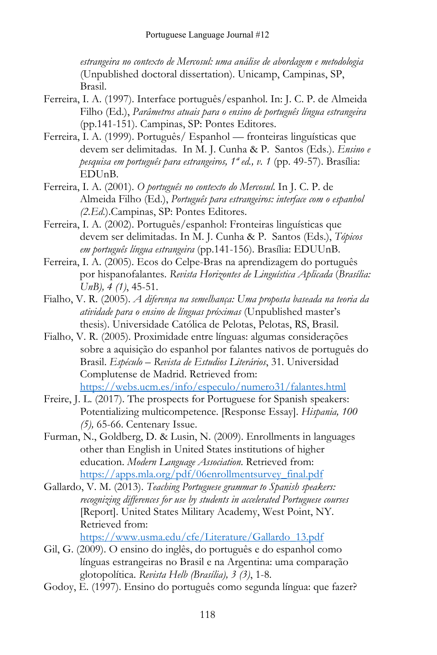*estrangeira no contexto de Mercosul: uma análise de abordagem e metodologia* (Unpublished doctoral dissertation). Unicamp, Campinas, SP, Brasil.

- Ferreira, I. A. (1997). Interface português/espanhol. In: J. C. P. de Almeida Filho (Ed.), *Parâmetros atuais para o ensino de português língua estrangeira* (pp.141-151). Campinas, SP: Pontes Editores.
- Ferreira, I. A. (1999). Português/ Espanhol fronteiras linguísticas que devem ser delimitadas*.* In M. J. Cunha & P. Santos (Eds.). *Ensino e pesquisa em português para estrangeiros, 1ª ed., v. 1* (pp. 49-57). Brasília: EDUnB.
- Ferreira, I. A. (2001). *O português no contexto do Mercosul*. In J. C. P. de Almeida Filho (Ed.), *Português para estrangeiros: interface com o espanhol (2.Ed*.).Campinas, SP: Pontes Editores.
- Ferreira, I. A. (2002). Português/espanhol: Fronteiras linguísticas que devem ser delimitadas. In M. J. Cunha & P. Santos (Eds.), *Tópicos em português língua estrangeira* (pp.141-156). Brasília: EDUUnB.
- Ferreira, I. A. (2005). Ecos do Celpe-Bras na aprendizagem do português por hispanofalantes. *Revista Horizontes de Linguística Aplicada* (*Brasília: UnB), 4 (1)*, 45-51.
- Fialho, V. R. (2005). *A diferença na semelhança: Uma proposta baseada na teoria da atividade para o ensino de línguas próximas* (Unpublished master's thesis). Universidade Católica de Pelotas, Pelotas, RS, Brasil.
- Fialho, V. R. (2005). Proximidade entre línguas: algumas considerações sobre a aquisição do espanhol por falantes nativos de português do Brasil. *Espéculo – Revista de Estudios Literários*, 31. Universidad Complutense de Madrid. Retrieved from: <https://webs.ucm.es/info/especulo/numero31/falantes.html>
- Freire, J. L. (2017). The prospects for Portuguese for Spanish speakers: Potentializing multicompetence. [Response Essay]. *Hispania, 100 (5),* 65-66. Centenary Issue.
- Furman, N., Goldberg, D. & Lusin, N. (2009). Enrollments in languages other than English in United States institutions of higher education. *Modern Language Association*. Retrieved from: [https://apps.mla.org/pdf/06enrollmentsurvey\\_final.pdf](https://apps.mla.org/pdf/06enrollmentsurvey_final.pdf)
- Gallardo, V. M. (2013). *Teaching Portuguese grammar to Spanish speakers: recognizing differences for use by students in accelerated Portuguese courses* [Report]. United States Military Academy, West Point, NY. Retrieved from:

[https://www.usma.edu/cfe/Literature/Gallardo\\_13.pdf](https://www.usma.edu/cfe/Literature/Gallardo_13.pdf)

- Gil, G. (2009). O ensino do inglês, do português e do espanhol como línguas estrangeiras no Brasil e na Argentina: uma comparação glotopolítica. *Revista Helb (Brasília), 3 (3)*, 1-8.
- Godoy, E. (1997). Ensino do português como segunda língua: que fazer?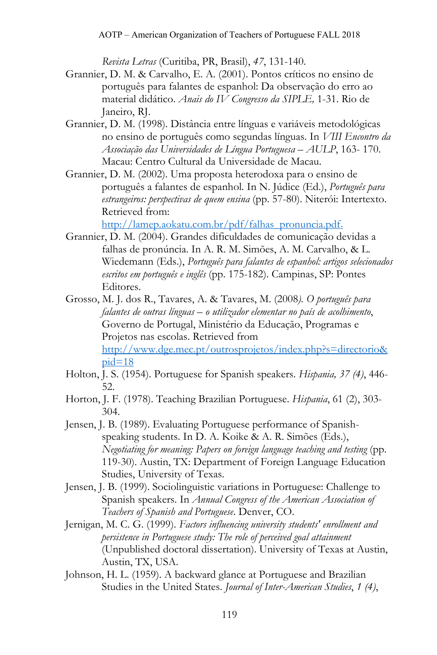*Revista Letras* (Curitiba, PR, Brasil), *47*, 131-140.

- Grannier, D. M. & Carvalho, E. A. (2001). Pontos críticos no ensino de português para falantes de espanhol: Da observação do erro ao material didático. *Anais do IV Congresso da SIPLE,* 1-31. Rio de Janeiro, RJ.
- Grannier, D. M. (1998). Distância entre línguas e variáveis metodológicas no ensino de português como segundas línguas. In *VIII Encontro da Associação das Universidades de Língua Portuguesa – AULP*, 163- 170. Macau: Centro Cultural da Universidade de Macau.
- Grannier, D. M. (2002). Uma proposta heterodoxa para o ensino de português a falantes de espanhol*.* In N. Júdice (Ed.), *Português para estrangeiros: perspectivas de quem ensina* (pp. 57-80). Niterói: Intertexto. Retrieved from:

[http://lamep.aokatu.com.br/pdf/falhas\\_pronuncia.pdf.](http://lamep.aokatu.com.br/pdf/falhas_pronuncia.pdf)

- Grannier, D. M. (2004). Grandes dificuldades de comunicação devidas a falhas de pronúncia. In A. R. M. Simões, A. M. Carvalho, & L. Wiedemann (Eds.), *Português para falantes de espanhol: artigos selecionados escritos em português e inglês* (pp. 175-182). Campinas, SP: Pontes Editores.
- Grosso, M. J. dos R., Tavares, A. & Tavares, M. (2008*). O português para falantes de outras línguas – o utilizador elementar no país de acolhimento*, Governo de Portugal, Ministério da Educação, Programas e Projetos nas escolas. Retrieved from [http://www.dge.mec.pt/outrosprojetos/index.php?s=directorio&](http://www.dge.mec.pt/outrosprojetos/index.php?s=directorio&pid=18)  $pid=18$
- Holton, J. S. (1954). Portuguese for Spanish speakers. *Hispania, 37 (4)*, 446- 52.
- Horton, J. F. (1978). Teaching Brazilian Portuguese. *Hispania*, 61 (2), 303- 304.
- Jensen, J. B. (1989). Evaluating Portuguese performance of Spanishspeaking students. In D. A. Koike & A. R. Simões (Eds.), *Negotiating for meaning: Papers on foreign language teaching and testing* (pp. 119-30). Austin, TX: Department of Foreign Language Education Studies, University of Texas.
- Jensen, J. B. (1999). Sociolinguistic variations in Portuguese: Challenge to Spanish speakers. In *Annual Congress of the American Association of Teachers of Spanish and Portuguese*. Denver, CO.
- Jernigan, M. C. G. (1999). *Factors influencing university students' enrollment and persistence in Portuguese study: The role of perceived goal attainment* (Unpublished doctoral dissertation). University of Texas at Austin, Austin, TX, USA.
- Johnson, H. L. (1959). A backward glance at Portuguese and Brazilian Studies in the United States. *Journal of Inter-American Studies*, *1 (4)*,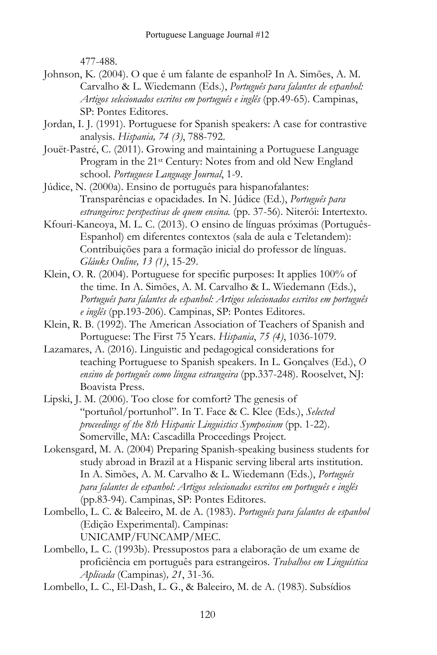477-488.

- Johnson, K. (2004). O que é um falante de espanhol? In A. Simões, A. M. Carvalho & L. Wiedemann (Eds.), *Português para falantes de espanhol: Artigos selecionados escritos em português e inglês* (pp.49-65). Campinas, SP: Pontes Editores.
- Jordan, I. J. (1991). Portuguese for Spanish speakers: A case for contrastive analysis. *Hispania, 74 (3)*, 788-792.
- Jouët-Pastré, C. (2011). Growing and maintaining a Portuguese Language Program in the 21st Century: Notes from and old New England school. *Portuguese Language Journal*, 1-9.
- Júdice, N. (2000a). Ensino de português para hispanofalantes: Transparências e opacidades*.* In N. Júdice (Ed.), *Português para estrangeiros: perspectivas de quem ensina.* (pp. 37-56). Niterói: Intertexto.
- Kfouri-Kaneoya, M. L. C. (2013). O ensino de línguas próximas (Português-Espanhol) em diferentes contextos (sala de aula e Teletandem): Contribuições para a formação inicial do professor de línguas. *Gláuks Online, 13 (1)*, 15-29.
- Klein, O. R. (2004). Portuguese for specific purposes: It applies 100% of the time. In A. Simões, A. M. Carvalho & L. Wiedemann (Eds.), *Português para falantes de espanhol: Artigos selecionados escritos em português e inglês* (pp.193-206). Campinas, SP: Pontes Editores.
- Klein, R. B. (1992). The American Association of Teachers of Spanish and Portuguese: The First 75 Years. *Hispania*, *75 (4)*, 1036-1079.
- Lazamares, A. (2016). Linguistic and pedagogical considerations for teaching Portuguese to Spanish speakers. In L. Gonçalves (Ed.), *O ensino de português como língua estrangeira* (pp.337-248). Rooselvet, NJ: Boavista Press.
- Lipski, J. M. (2006). Too close for comfort? The genesis of "portuñol/portunhol". In T. Face & C. Klee (Eds.), *Selected proceedings of the 8th Hispanic Linguistics Symposium* (pp. 1-22). Somerville, MA: Cascadilla Proceedings Project.
- Lokensgard, M. A. (2004) Preparing Spanish-speaking business students for study abroad in Brazil at a Hispanic serving liberal arts institution. In A. Simões, A. M. Carvalho & L. Wiedemann (Eds.), *Português para falantes de espanhol: Artigos selecionados escritos em português e inglês* (pp.83-94). Campinas, SP: Pontes Editores.
- Lombello, L. C. & Baleeiro, M. de A. (1983). *Português para falantes de espanhol* (Edição Experimental). Campinas: UNICAMP/FUNCAMP/MEC.
- Lombello, L. C. (1993b). Pressupostos para a elaboração de um exame de proficiência em português para estrangeiros. *Trabalhos em Linguística Aplicada* (Campinas)*, 21*, 31-36.
- Lombello, L. C., El-Dash, L. G., & Baleeiro, M. de A. (1983). Subsídios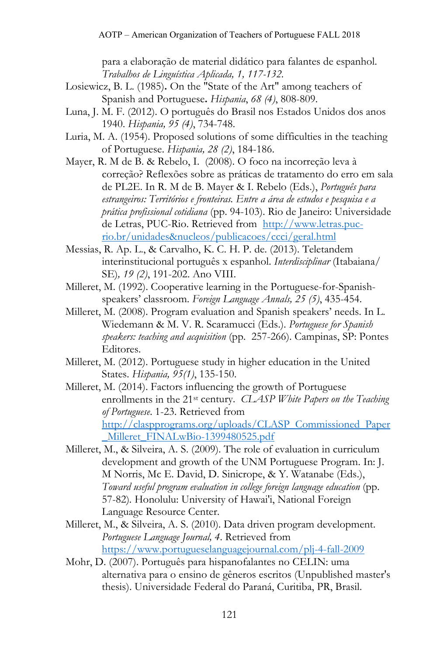para a elaboração de material didático para falantes de espanhol. *Trabalhos de Linguística Aplicada, 1, 117-132.*

- Losiewicz, B. L. (1985)**.** On the "State of the Art" among teachers of Spanish and Portuguese**.** *Hispania*, *68 (4)*, 808-809.
- Luna, J. M. F. (2012). O português do Brasil nos Estados Unidos dos anos 1940. *Hispania, 95 (4)*, 734-748.
- Luria, M. A. (1954). Proposed solutions of some difficulties in the teaching of Portuguese. *Hispania, 28 (2)*, 184-186.
- Mayer, R. M de B. & Rebelo, I. (2008). O foco na incorreção leva à correção? Reflexões sobre as práticas de tratamento do erro em sala de PL2E. In R. M de B. Mayer & I. Rebelo (Eds.), *Português para estrangeiros: Territórios e fronteiras. Entre a área de estudos e pesquisa e a prática profissional cotidiana* (pp. 94-103). Rio de Janeiro: Universidade de Letras, PUC-Rio. Retrieved from [http://www.letras.puc](http://www.letras.puc-rio.br/unidades&nucleos/publicacoes/ccci/geral.html)[rio.br/unidades&nucleos/publicacoes/ccci/geral.html](http://www.letras.puc-rio.br/unidades&nucleos/publicacoes/ccci/geral.html)
- Messias, R. Ap. L., & Carvalho, K. C. H. P. de. (2013). Teletandem interinstitucional português x espanhol. *Interdisciplinar* (Itabaiana/ SE)*, 19 (2)*, 191-202. Ano VIII.
- Milleret, M. (1992). Cooperative learning in the Portuguese-for-Spanishspeakers' classroom. *Foreign Language Annals, 25 (5)*, 435-454.
- Milleret, M. (2008). Program evaluation and Spanish speakers' needs. In L. Wiedemann & M. V. R. Scaramucci (Eds.). *Portuguese for Spanish speakers: teaching and acquisition* (pp. 257-266). Campinas, SP: Pontes Editores.
- Milleret, M. (2012). Portuguese study in higher education in the United States. *Hispania, 95(1)*, 135-150.
- Milleret, M. (2014). Factors influencing the growth of Portuguese enrollments in the 21st century. *CLASP White Papers on the Teaching of Portuguese*. 1-23. Retrieved from [http://claspprograms.org/uploads/CLASP\\_Commissioned\\_Paper](http://claspprograms.org/uploads/CLASP_Commissioned_Paper_Milleret_FINALwBio-1399480525.pdf) Milleret\_FINALwBio-1399480525.pdf
- Milleret, M., & Silveira, A. S. (2009). The role of evaluation in curriculum development and growth of the UNM Portuguese Program. In: J. M Norris, Mc E. David, D. Sinicrope, & Y. Watanabe (Eds.), *Toward useful program evaluation in college foreign language education* (pp. 57-82)*.* Honolulu: University of Hawai'i, National Foreign Language Resource Center.
- Milleret, M., & Silveira, A. S. (2010). Data driven program development. *Portuguese Language Journal, 4*. Retrieved from <https://www.portugueselanguagejournal.com/plj-4-fall-2009>
- Mohr, D. (2007). Português para hispanofalantes no CELIN: uma alternativa para o ensino de gêneros escritos (Unpublished master's thesis). Universidade Federal do Paraná, Curitiba, PR, Brasil.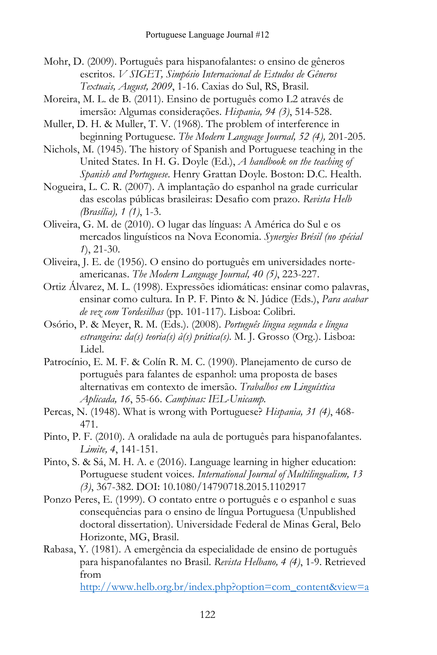- Mohr, D. (2009). Português para hispanofalantes: o ensino de gêneros escritos. *V SIGET, Simpósio Internacional de Estudos de Gêneros Textuais, August, 2009*, 1-16. Caxias do Sul, RS, Brasil.
- Moreira, M. L. de B. (2011). Ensino de português como L2 através de imersão: Algumas considerações. *Hispania, 94 (3)*, 514-528.

Muller, D. H. & Muller, T. V. (1968). The problem of interference in beginning Portuguese. *The Modern Language Journal, 52 (4),* 201-205.

Nichols, M. (1945). The history of Spanish and Portuguese teaching in the United States. In H. G. Doyle (Ed.), *A handbook on the teaching of Spanish and Portuguese*. Henry Grattan Doyle. Boston: D.C. Health.

Nogueira, L. C. R. (2007). A implantação do espanhol na grade curricular das escolas públicas brasileiras: Desafio com prazo. *Revista Helb (Brasília), 1 (1)*, 1-3.

- Oliveira, G. M. de (2010). O lugar das línguas: A América do Sul e os mercados linguísticos na Nova Economia. *Synergies Brésil (no spécial 1*), 21-30.
- Oliveira, J. E. de (1956). O ensino do português em universidades norteamericanas. *The Modern Language Journal, 40 (5)*, 223-227.
- Ortiz Álvarez, M. L. (1998). Expressões idiomáticas: ensinar como palavras, ensinar como cultura. In P. F. Pinto & N. Júdice (Eds.), *Para acabar de vez com Tordesilhas* (pp. 101-117)*.* Lisboa: Colibri.
- Osório, P. & Meyer, R. M. (Eds.). (2008). *Português língua segunda e língua estrangeira: da(s) teoria(s) à(s) prática(s)*. M. J. Grosso (Org.). Lisboa: Lidel.
- Patrocínio, E. M. F. & Colín R. M. C. (1990). Planejamento de curso de português para falantes de espanhol: uma proposta de bases alternativas em contexto de imersão. *Trabalhos em Linguística Aplicada, 16*, 55-66. *Campinas: IEL-Unicamp.*
- Percas, N. (1948). What is wrong with Portuguese? *Hispania, 31 (4)*, 468- 471.
- Pinto, P. F. (2010). A oralidade na aula de português para hispanofalantes. *Limite, 4*, 141-151.
- Pinto, S. & Sá, M. H. A. e (2016). Language learning in higher education: Portuguese student voices. *International Journal of Multilingualism, 13 (3)*, 367-382. DOI: 10.1080/14790718.2015.1102917
- Ponzo Peres, E. (1999). O contato entre o português e o espanhol e suas consequências para o ensino de língua Portuguesa (Unpublished doctoral dissertation). Universidade Federal de Minas Geral, Belo Horizonte, MG, Brasil.
- Rabasa, Y. (1981). A emergência da especialidade de ensino de português para hispanofalantes no Brasil. *Revista Helbano, 4 (4)*, 1-9. Retrieved from

[http://www.helb.org.br/index.php?option=com\\_content&view=a](http://www.helb.org.br/index.php?option=com_content&view=article&id=143:a-emergencia-da-especialidade-de-ensino-de-portugues-para-hispanofalantes-no-brasil&catid=1095:ano-4-no-04-12010&Itemid=13)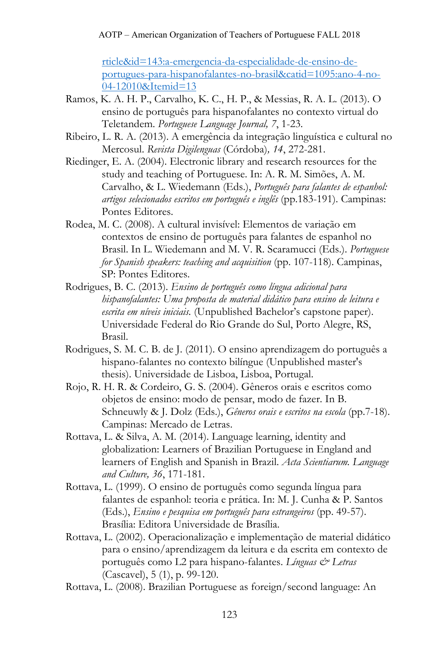[rticle&id=143:a-emergencia-da-especialidade-de-ensino-de](http://www.helb.org.br/index.php?option=com_content&view=article&id=143:a-emergencia-da-especialidade-de-ensino-de-portugues-para-hispanofalantes-no-brasil&catid=1095:ano-4-no-04-12010&Itemid=13)[portugues-para-hispanofalantes-no-brasil&catid=1095:ano-4-no-](http://www.helb.org.br/index.php?option=com_content&view=article&id=143:a-emergencia-da-especialidade-de-ensino-de-portugues-para-hispanofalantes-no-brasil&catid=1095:ano-4-no-04-12010&Itemid=13)[04-12010&Itemid=13](http://www.helb.org.br/index.php?option=com_content&view=article&id=143:a-emergencia-da-especialidade-de-ensino-de-portugues-para-hispanofalantes-no-brasil&catid=1095:ano-4-no-04-12010&Itemid=13)

- Ramos, K. A. H. P., Carvalho, K. C., H. P., & Messias, R. A. L. (2013). O ensino de português para hispanofalantes no contexto virtual do Teletandem. *Portuguese Language Journal, 7*, 1-23.
- Ribeiro, L. R. A. (2013). A emergência da integração linguística e cultural no Mercosul. *Revista Digilenguas* (Córdoba)*, 14*, 272-281.
- Riedinger, E. A. (2004). Electronic library and research resources for the study and teaching of Portuguese. In: A. R. M. Simões, A. M. Carvalho, & L. Wiedemann (Eds.), *Português para falantes de espanhol: artigos selecionados escritos em português e inglês* (pp.183-191). Campinas: Pontes Editores.
- Rodea, M. C. (2008). A cultural invisível: Elementos de variação em contextos de ensino de português para falantes de espanhol no Brasil. In L. Wiedemann and M. V. R. Scaramucci (Eds.). *Portuguese for Spanish speakers: teaching and acquisition* (pp. 107-118). Campinas, SP: Pontes Editores.
- Rodrigues, B. C. (2013). *Ensino de português como língua adicional para hispanofalantes: Uma proposta de material didático para ensino de leitura e escrita em níveis iniciais.* (Unpublished Bachelor's capstone paper). Universidade Federal do Rio Grande do Sul, Porto Alegre, RS, Brasil.
- Rodrigues, S. M. C. B. de J. (2011). O ensino aprendizagem do português a hispano-falantes no contexto bilíngue (Unpublished master's thesis). Universidade de Lisboa, Lisboa, Portugal.
- Rojo, R. H. R. & Cordeiro, G. S. (2004). Gêneros orais e escritos como objetos de ensino: modo de pensar, modo de fazer. In B. Schneuwly & J. Dolz (Eds.), *Gêneros orais e escritos na escola* (pp.7-18). Campinas: Mercado de Letras.
- Rottava, L. & Silva, A. M. (2014). Language learning, identity and globalization: Learners of Brazilian Portuguese in England and learners of English and Spanish in Brazil. *Acta Scientiarum. Language and Culture, 36*, 171-181.
- Rottava, L. (1999). O ensino de português como segunda língua para falantes de espanhol: teoria e prática. In: M. J. Cunha & P. Santos (Eds.), *Ensino e pesquisa em português para estrangeiros* (pp. 49-57). Brasília: Editora Universidade de Brasília.
- Rottava, L. (2002). Operacionalização e implementação de material didático para o ensino/aprendizagem da leitura e da escrita em contexto de português como L2 para hispano-falantes. *Línguas & Letras* (Cascavel), 5 (1), p. 99-120.
- Rottava, L. (2008). Brazilian Portuguese as foreign/second language: An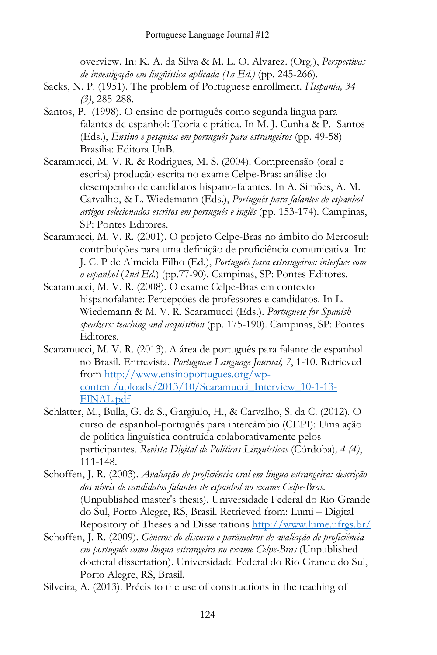overview. In: K. A. da Silva & M. L. O. Alvarez. (Org.), *Perspectivas de investigação em lingüística aplicada (1a Ed.)* (pp. 245-266).

- Sacks, N. P. (1951). The problem of Portuguese enrollment. *Hispania, 34 (3)*, 285-288.
- Santos, P. (1998). O ensino de português como segunda língua para falantes de espanhol: Teoria e prática. In M. J. Cunha & P. Santos (Eds.), *Ensino e pesquisa em português para estrangeiros* (pp. 49-58) Brasília: Editora UnB.
- Scaramucci, M. V. R. & Rodrigues, M. S. (2004). Compreensão (oral e escrita) produção escrita no exame Celpe-Bras: análise do desempenho de candidatos hispano-falantes. In A. Simões, A. M. Carvalho, & L. Wiedemann (Eds.), *Português para falantes de espanhol artigos selecionados escritos em português e inglês* (pp. 153-174). Campinas, SP: Pontes Editores.
- Scaramucci, M. V. R. (2001). O projeto Celpe-Bras no âmbito do Mercosul: contribuições para uma definição de proficiência comunicativa. In: J. C. P de Almeida Filho (Ed.), *Português para estrangeiros: interface com o espanhol* (*2nd Ed.*) (pp.77-90). Campinas, SP: Pontes Editores.
- Scaramucci, M. V. R. (2008). O exame Celpe-Bras em contexto hispanofalante: Percepções de professores e candidatos. In L. Wiedemann & M. V. R. Scaramucci (Eds.). *Portuguese for Spanish speakers: teaching and acquisition* (pp. 175-190). Campinas, SP: Pontes Editores.
- Scaramucci, M. V. R. (2013). A área de português para falante de espanhol no Brasil. Entrevista. *Portuguese Language Journal, 7*, 1-10. Retrieved from [http://www.ensinoportugues.org/wp](http://www.ensinoportugues.org/wp-content/uploads/2013/10/Scaramucci_Interview_10-1-13-FINAL.pdf)[content/uploads/2013/10/Scaramucci\\_Interview\\_10-1-13-](http://www.ensinoportugues.org/wp-content/uploads/2013/10/Scaramucci_Interview_10-1-13-FINAL.pdf) [FINAL.pdf](http://www.ensinoportugues.org/wp-content/uploads/2013/10/Scaramucci_Interview_10-1-13-FINAL.pdf)
- Schlatter, M., Bulla, G. da S., Gargiulo, H., & Carvalho, S. da C. (2012). O curso de espanhol-português para intercâmbio (CEPI): Uma ação de política linguística contruída colaborativamente pelos participantes. *Revista Digital de Políticas Linguísticas* (Córdoba)*, 4 (4)*, 111-148.
- Schoffen, J. R. (2003). *Avaliação de proficiência oral em língua estrangeira: descrição dos níveis de candidatos falantes de espanhol no exame Celpe-Bras*. (Unpublished master's thesis). Universidade Federal do Rio Grande do Sul, Porto Alegre, RS, Brasil. Retrieved from: Lumi – Digital Repository of Theses and Dissertations <http://www.lume.ufrgs.br/>
- Schoffen, J. R. (2009). *Gêneros do discurso e parâmetros de avaliação de proficiência em português como língua estrangeira no exame Celpe-Bras* (Unpublished doctoral dissertation). Universidade Federal do Rio Grande do Sul, Porto Alegre, RS, Brasil.
- Silveira, A. (2013). Précis to the use of constructions in the teaching of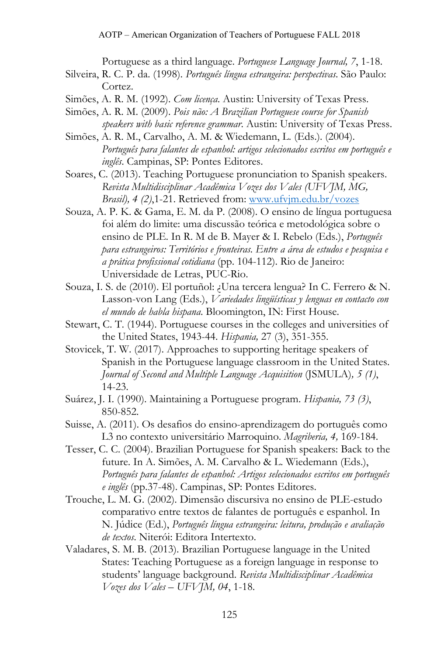Portuguese as a third language. *Portuguese Language Journal, 7*, 1-18.

- Silveira, R. C. P. da. (1998). *Português língua estrangeira: perspectivas*. São Paulo: Cortez.
- Simões, A. R. M. (1992). *Com licença*. Austin: University of Texas Press.
- Simões, A. R. M. (2009). *Pois não: A Brazilian Portuguese course for Spanish speakers with basic reference grammar*. Austin: University of Texas Press.
- Simões, A. R. M., Carvalho, A. M. & Wiedemann, L. (Eds.). (2004). *Português para falantes de espanhol: artigos selecionados escritos em português e inglês*. Campinas, SP: Pontes Editores.
- Soares, C. (2013). Teaching Portuguese pronunciation to Spanish speakers. *Revista Multidisciplinar Acadêmica Vozes dos Vales (UFVJM, MG, Brasil), 4 (2)*,1-21. Retrieved from: [www.ufvjm.edu.br/vozes](http://www.ufvjm.edu.br/vozes)
- Souza, A. P. K. & Gama, E. M. da P. (2008). O ensino de língua portuguesa foi além do limite: uma discussão teórica e metodológica sobre o ensino de PLE. In R. M de B. Mayer & I. Rebelo (Eds.), *Português para estrangeiros: Territórios e fronteiras. Entre a área de estudos e pesquisa e a prática profissional cotidiana* (pp. 104-112). Rio de Janeiro: Universidade de Letras, PUC-Rio.
- Souza, I. S. de (2010). El portuñol: ¿Una tercera lengua? In C. Ferrero & N. Lasson-von Lang (Eds.), *Variedades lingüísticas y lenguas en contacto con el mundo de habla hispana*. Bloomington, IN: First House.
- Stewart, C. T. (1944). Portuguese courses in the colleges and universities of the United States, 1943-44. *Hispania,* 27 (3), 351-355.
- Stovicek, T. W. (2017). Approaches to supporting heritage speakers of Spanish in the Portuguese language classroom in the United States. *Journal of Second and Multiple Language Acquisition* (JSMULA)*, 5 (1)*, 14-23.
- Suárez, J. I. (1990). Maintaining a Portuguese program. *Hispania, 73 (3)*, 850-852.
- Suisse, A. (2011). Os desafios do ensino-aprendizagem do português como L3 no contexto universitário Marroquino. *Magriberia, 4,* 169-184.
- Tesser, C. C. (2004). Brazilian Portuguese for Spanish speakers: Back to the future. In A. Simões, A. M. Carvalho & L. Wiedemann (Eds.), *Português para falantes de espanhol: Artigos selecionados escritos em português e inglês* (pp.37-48). Campinas, SP: Pontes Editores.
- Trouche, L. M. G. (2002). Dimensão discursiva no ensino de PLE-estudo comparativo entre textos de falantes de português e espanhol. In N. Júdice (Ed.), *Português língua estrangeira: leitura, produção e avaliação de textos*. Niterói: Editora Intertexto.
- Valadares, S. M. B. (2013). Brazilian Portuguese language in the United States: Teaching Portuguese as a foreign language in response to students' language background. *Revista Multidisciplinar Acadêmica Vozes dos Vales – UFVJM, 04*, 1-18.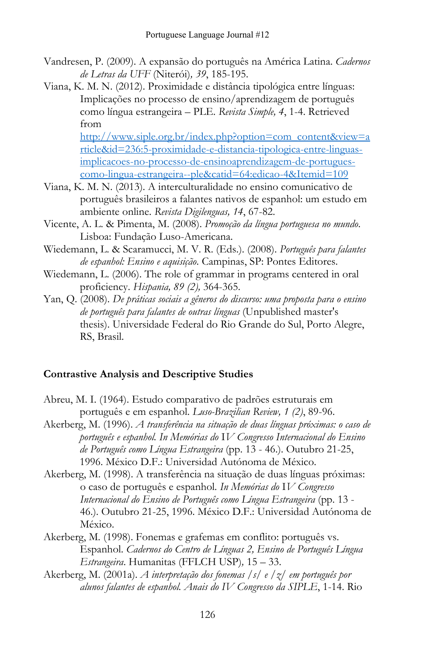- Vandresen, P. (2009). A expansão do português na América Latina. *Cadernos de Letras da UFF* (Niterói)*, 39*, 185-195.
- Viana, K. M. N. (2012). Proximidade e distância tipológica entre línguas: Implicações no processo de ensino/aprendizagem de português como língua estrangeira – PLE. *Revista Simple, 4*, 1-4. Retrieved from

[http://www.siple.org.br/index.php?option=com\\_content&view=a](http://www.siple.org.br/index.php?option=com_content&view=article&id=236:5-proximidade-e-distancia-tipologica-entre-linguas-implicacoes-no-processo-de-ensinoaprendizagem-de-portugues-como-lingua-estrangeira--ple&catid=64:edicao-4&Itemid=109) [rticle&id=236:5-proximidade-e-distancia-tipologica-entre-linguas](http://www.siple.org.br/index.php?option=com_content&view=article&id=236:5-proximidade-e-distancia-tipologica-entre-linguas-implicacoes-no-processo-de-ensinoaprendizagem-de-portugues-como-lingua-estrangeira--ple&catid=64:edicao-4&Itemid=109)[implicacoes-no-processo-de-ensinoaprendizagem-de-portugues](http://www.siple.org.br/index.php?option=com_content&view=article&id=236:5-proximidade-e-distancia-tipologica-entre-linguas-implicacoes-no-processo-de-ensinoaprendizagem-de-portugues-como-lingua-estrangeira--ple&catid=64:edicao-4&Itemid=109)[como-lingua-estrangeira--ple&catid=64:edicao-4&Itemid=109](http://www.siple.org.br/index.php?option=com_content&view=article&id=236:5-proximidade-e-distancia-tipologica-entre-linguas-implicacoes-no-processo-de-ensinoaprendizagem-de-portugues-como-lingua-estrangeira--ple&catid=64:edicao-4&Itemid=109)

- Viana, K. M. N. (2013). A interculturalidade no ensino comunicativo de português brasileiros a falantes nativos de espanhol: um estudo em ambiente online. *Revista Digilenguas, 14*, 67-82.
- Vicente, A. L. & Pimenta, M. (2008). *Promoção da língua portuguesa no mundo*. Lisboa: Fundação Luso-Americana.
- Wiedemann, L. & Scaramucci, M. V. R. (Eds.). (2008). *Português para falantes de espanhol: Ensino e aquisição*. Campinas, SP: Pontes Editores.
- Wiedemann, L. (2006). The role of grammar in programs centered in oral proficiency. *Hispania, 89 (2),* 364-365.
- Yan, Q. (2008). *De práticas sociais a gêneros do discurso: uma proposta para o ensino de português para falantes de outras línguas* (Unpublished master's thesis). Universidade Federal do Rio Grande do Sul, Porto Alegre, RS, Brasil.

## **Contrastive Analysis and Descriptive Studies**

- Abreu, M. I. (1964). Estudo comparativo de padrões estruturais em português e em espanhol. *Luso-Brazilian Review, 1 (2)*, 89-96.
- Akerberg, M. (1996). *A transferência na situação de duas línguas próximas: o caso de português e espanhol. In Memórias do* I*V Congresso Internacional do Ensino de Português como Língua Estrangeira* (pp. 13 - 46.). Outubro 21-25, 1996. México D.F.: Universidad Autónoma de México.
- Akerberg, M. (1998). A transferência na situação de duas línguas próximas: o caso de português e espanhol*. In Memórias do* I*V Congresso Internacional do Ensino de Português como Língua Estrangeira* (pp. 13 - 46.). Outubro 21-25, 1996. México D.F.: Universidad Autónoma de México.
- Akerberg, M*.* (1998). Fonemas e grafemas em conflito: português vs. Espanhol. *Cadernos do Centro de Línguas 2, Ensino de Português Língua Estrangeira*. Humanitas (FFLCH USP)*,* 15 – 33.
- Akerberg, M. (2001a). *A interpretação dos fonemas /s/ e /z/ em português por alunos falantes de espanhol. Anais do IV Congresso da SIPLE*, 1-14. Rio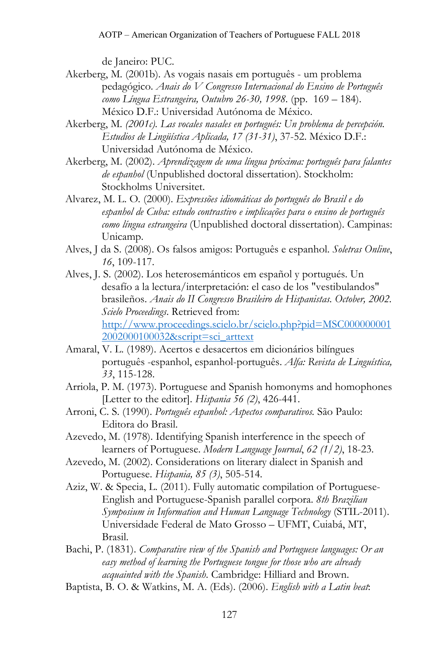de Janeiro: PUC.

- Akerberg, M*.* (2001b). As vogais nasais em português um problema pedagógico. *Anais do V Congresso Internacional do Ensino de Português como Língua Estrangeira, Outubro 26-30, 1998.* (pp. 169 – 184). México D.F.: Universidad Autónoma de México.
- Akerberg, M*. (2001c). Las vocales nasales en portugués: Un problema de percepción. Estudios de Lingüística Aplicada, 17 (31-31)*, 37-52. México D.F.: Universidad Autónoma de México.
- Akerberg, M. (2002). *Aprendizagem de uma língua próxima: português para falantes de espanhol* (Unpublished doctoral dissertation). Stockholm: Stockholms Universitet.
- Alvarez, M. L. O*.* (2000). *Expressões idiomáticas do português do Brasil e do espanhol de Cuba: estudo contrastivo e implicações para o ensino de português como língua estrangeira* (Unpublished doctoral dissertation). Campinas: Unicamp.
- Alves, J da S. (2008). Os falsos amigos: Português e espanhol. *Soletras Online*, *16*, 109-117.
- Alves, J. S. (2002). Los heterosemánticos em español y portugués. Un desafío a la lectura/interpretación: el caso de los "vestibulandos" brasileños. *Anais do II Congresso Brasileiro de Hispanistas. October, 2002. Scielo Proceedings*. Retrieved from: [http://www.proceedings.scielo.br/scielo.php?pid=MSC000000001](http://www.proceedings.scielo.br/scielo.php?pid=MSC0000000012002000100032&script=sci_arttext) [2002000100032&script=sci\\_arttext](http://www.proceedings.scielo.br/scielo.php?pid=MSC0000000012002000100032&script=sci_arttext)
- Amaral, V. L. (1989). Acertos e desacertos em dicionários bilíngues português -espanhol, espanhol-português. *Alfa: Revista de Linguística, 33*, 115-128.
- Arriola, P. M. (1973). Portuguese and Spanish homonyms and homophones [Letter to the editor]. *Hispania 56 (2)*, 426-441.
- Arroni, C. S. (1990). *Português espanhol: Aspectos comparativos.* São Paulo: Editora do Brasil.
- Azevedo, M. (1978). Identifying Spanish interference in the speech of learners of Portuguese. *Modern Language Journal*, *62 (1/2)*, 18-23.
- Azevedo, M. (2002). Considerations on literary dialect in Spanish and Portuguese. *Hispania, 85 (3)*, 505-514.
- Aziz, W. & Specia, L. (2011). Fully automatic compilation of Portuguese-English and Portuguese-Spanish parallel corpora. *8th Brazilian Symposium in Information and Human Language Technology* (STIL-2011). Universidade Federal de Mato Grosso – UFMT, Cuiabá, MT, Brasil.
- Bachi, P. (1831). *Comparative view of the Spanish and Portuguese languages: Or an easy method of learning the Portuguese tongue for those who are already acquainted with the Spanish*. Cambridge: Hilliard and Brown.
- Baptista, B. O. & Watkins, M. A. (Eds). (2006). *English with a Latin beat*: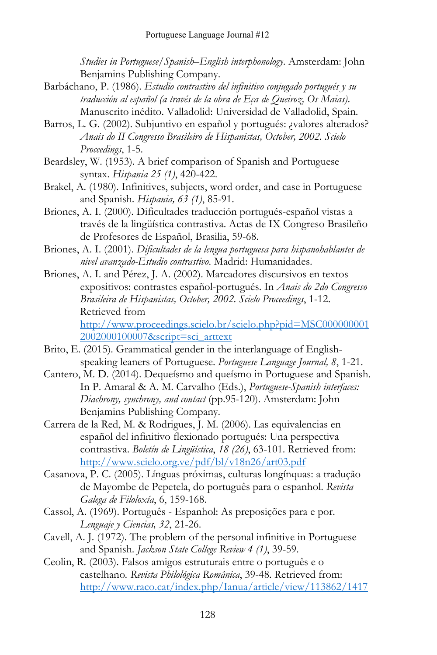*Studies in Portuguese/Spanish–English interphonology*. Amsterdam: John Benjamins Publishing Company.

- Barbáchano, P. (1986). *Estudio contrastivo del infinitivo conjugado portugués y su traducción al español (a través de la obra de Eça de Queiroz, Os Maias)*. Manuscrito inédito. Valladolid: Universidad de Valladolid, Spain.
- Barros, L. G. (2002). Subjuntivo en español y portugués: ¿valores alterados? *Anais do II Congresso Brasileiro de Hispanistas, October, 2002. Scielo Proceedings*, 1-5.
- Beardsley, W. (1953). A brief comparison of Spanish and Portuguese syntax. *Hispania 25 (1)*, 420-422.
- Brakel, A. (1980). Infinitives, subjects, word order, and case in Portuguese and Spanish. *Hispania, 63 (1)*, 85-91.
- Briones, A. I. (2000). Dificultades traducción portugués-español vistas a través de la lingüística contrastiva. Actas de IX Congreso Brasileño de Profesores de Español, Brasilia, 59-68.
- Briones, A. I. (2001). *Dificultades de la lengua portuguesa para hispanohablantes de nivel avanzado-Estudio contrastivo*. Madrid: Humanidades.
- Briones, A. I. and Pérez, J. A. (2002). Marcadores discursivos en textos expositivos: contrastes español-portugués. In *Anais do 2do Congresso Brasileira de Hispanistas, October, 2002*. *Scielo Proceedings*, 1-12. Retrieved from [http://www.proceedings.scielo.br/scielo.php?pid=MSC000000001](http://www.proceedings.scielo.br/scielo.php?pid=MSC0000000012002000100007&script=sci_arttext) [2002000100007&script=sci\\_arttext](http://www.proceedings.scielo.br/scielo.php?pid=MSC0000000012002000100007&script=sci_arttext)
- Brito, E. (2015). Grammatical gender in the interlanguage of Englishspeaking leaners of Portuguese. *Portuguese Language Journal, 8*, 1-21.
- Cantero, M. D. (2014). Dequeísmo and queísmo in Portuguese and Spanish. In P. Amaral & A. M. Carvalho (Eds.), *Portuguese-Spanish interfaces: Diachrony, synchrony, and contact* (pp.95-120). Amsterdam: John Benjamins Publishing Company.
- Carrera de la Red, M. & Rodrigues, J. M. (2006). Las equivalencias en español del infinitivo flexionado portugués: Una perspectiva contrastiva. *Boletín de Lingüística*, *18 (26)*, 63-101. Retrieved from: <http://www.scielo.org.ve/pdf/bl/v18n26/art03.pdf>
- Casanova, P. C. (2005). Línguas próximas, culturas longínquas: a tradução de Mayombe de Pepetela, do português para o espanhol. *Revista Galega de Filoloxía*, 6, 159-168.
- Cassol, A. (1969). Português Espanhol: As preposições para e por. *Lenguaje y Ciencias, 32*, 21-26.
- Cavell, A. J. (1972). The problem of the personal infinitive in Portuguese and Spanish. *Jackson State College Review 4 (1)*, 39-59.
- Ceolin, R. (2003). Falsos amigos estruturais entre o português e o castelhano*. Revista Philológica Românica*, 39-48. Retrieved from: [http://www.raco.cat/index.php/Ianua/article/view/113862/1417](http://www.raco.cat/index.php/Ianua/article/view/113862/141783)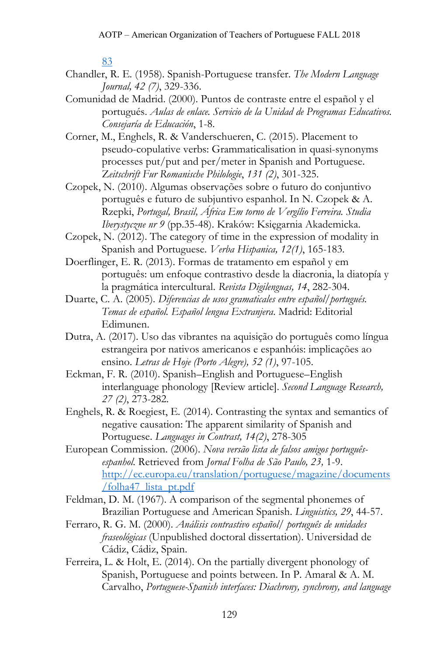[83](http://www.raco.cat/index.php/Ianua/article/view/113862/141783)

- Chandler, R. E. (1958). Spanish-Portuguese transfer. *The Modern Language Journal, 42 (7)*, 329-336.
- Comunidad de Madrid. (2000). Puntos de contraste entre el español y el portugués. *Aulas de enlace. Servicio de la Unidad de Programas Educativos. Consejaría de Educación*, 1-8.
- Corner, M., Enghels, R. & Vanderschueren, C. (2015). Placement to pseudo-copulative verbs: Grammaticalisation in quasi-synonyms processes put/put and per/meter in Spanish and Portuguese. Z*eitschrift Fur Romanische Philologie*, *131 (2)*, 301-325.
- Czopek, N. (2010). Algumas observações sobre o futuro do conjuntivo português e futuro de subjuntivo espanhol. In N. Czopek & A. Rzepki, *Portugal, Brasil, África Em torno de Vergílio Ferreira. Studia Iberystyczne nr 9* (pp.35-48). Kraków: Księgarnia Akademicka.
- Czopek, N. (2012). The category of time in the expression of modality in Spanish and Portuguese. *Verba Hispanica, 12(1)*, 165-183.
- Doerflinger, E. R. (2013). Formas de tratamento em español y em português: um enfoque contrastivo desde la diacronia, la diatopía y la pragmática intercultural. *Revista Digilenguas, 14*, 282-304.
- Duarte, C. A. (2005). *Diferencias de usos gramaticales entre español/portugués. Temas de español. Español lengua Extranjera*. Madrid: Editorial Edimunen.
- Dutra, A. (2017). Uso das vibrantes na aquisição do português como língua estrangeira por nativos americanos e espanhóis: implicações ao ensino. *Letras de Hoje (Porto Alegre), 52 (1)*, 97-105.
- Eckman, F. R. (2010). Spanish–English and Portuguese–English interlanguage phonology [Review article]. *Second Language Research, 27 (2)*, 273-282.
- Enghels, R. & Roegiest, E. (2014). Contrasting the syntax and semantics of negative causation: The apparent similarity of Spanish and Portuguese. *Languages in Contrast, 14(2)*, 278-305
- European Commission. (2006). *Nova versão lista de falsos amigos portuguêsespanhol.* Retrieved from *Jornal Folha de São Paulo, 23,* 1-9. [http://ec.europa.eu/translation/portuguese/magazine/documents](http://ec.europa.eu/translation/portuguese/magazine/documents/folha47_lista_pt.pdf) [/folha47\\_lista\\_pt.pdf](http://ec.europa.eu/translation/portuguese/magazine/documents/folha47_lista_pt.pdf)
- Feldman, D. M. (1967). A comparison of the segmental phonemes of Brazilian Portuguese and American Spanish. *Linguistics, 29*, 44-57.
- Ferraro, R. G. M. (2000). *Análisis contrastivo español/ português de unidades fraseológicas* (Unpublished doctoral dissertation). Universidad de Cádiz, Cádiz, Spain.
- Ferreira, L. & Holt, E. (2014). On the partially divergent phonology of Spanish, Portuguese and points between. In P. Amaral & A. M. Carvalho, *Portuguese-Spanish interfaces: Diachrony, synchrony, and language*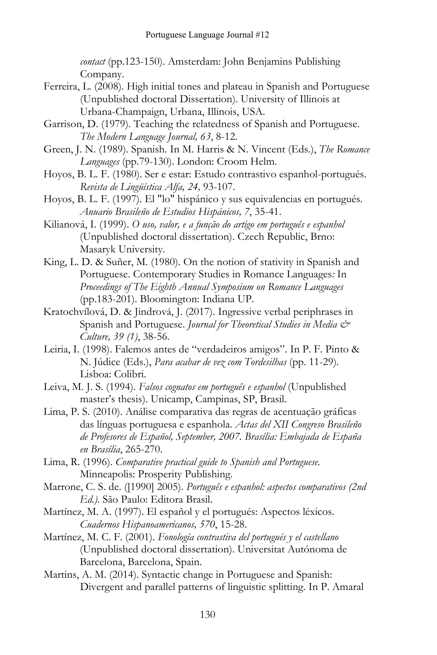*contact* (pp.123-150). Amsterdam: John Benjamins Publishing Company.

- Ferreira, L. (2008). High initial tones and plateau in Spanish and Portuguese (Unpublished doctoral Dissertation). University of Illinois at Urbana-Champaign, Urbana, Illinois, USA.
- Garrison, D. (1979). Teaching the relatedness of Spanish and Portuguese. *The Modern Language Journal, 63*, 8-12.
- Green, J. N. (1989). Spanish. In M. Harris & N. Vincent (Eds.), *The Romance Languages* (pp.79-130). London: Croom Helm.
- Hoyos, B. L. F. (1980). Ser e estar: Estudo contrastivo espanhol-portugués. *Revista de Lingüística Alfa, 24,* 93-107.
- Hoyos, B. L. F. (1997). El "lo" hispánico y sus equivalencias en portugués. *Anuario Brasileño de Estudios Hispánicos, 7*, 35-41.
- Kilianová, I. (1999). *O uso, valor, e a função do artigo em português e espanhol* (Unpublished doctoral dissertation). Czech Republic, Brno: Masaryk University.
- King, L. D. & Suñer, M. (1980). On the notion of stativity in Spanish and Portuguese. Contemporary Studies in Romance Languages*:* In *Proceedings of The Eighth Annual Symposium on Romance Languages* (pp.183-201). Bloomington: Indiana UP.
- Kratochvílová, D. & Jindrová, J. (2017). Ingressive verbal periphrases in Spanish and Portuguese. *Journal for Theoretical Studies in Media & Culture, 39 (1)*, 38-56.
- Leiria, I. (1998). Falemos antes de "verdadeiros amigos". In P. F. Pinto & N. Júdice (Eds.), *Para acabar de vez com Tordesilhas* (pp. 11-29)*.* Lisboa: Colibri.
- Leiva, M. J. S. (1994). *Falsos cognatos em português e espanhol* (Unpublished master's thesis). Unicamp, Campinas, SP, Brasil.
- Lima, P. S. (2010). Análise comparativa das regras de acentuação gráficas das línguas portuguesa e espanhola. *Actas del XII Congreso Brasileño de Profesores de Español, September, 2007. Brasília: Embajada de España en Brasília*, 265-270.
- Lima, R. (1996). *Comparative practical guide to Spanish and Portuguese*. Minneapolis: Prosperity Publishing.
- Marrone, C. S. de. ([1990] 2005). *Português e espanhol: aspectos comparativos (2nd Ed.)*. São Paulo: Editora Brasil.
- Martínez, M. A. (1997). El español y el portugués: Aspectos léxicos. *Cuadernos Hispanoamericanos, 570*, 15-28.
- Martínez, M. C. F. (2001). *Fonología contrastiva del portugués y el castellano* (Unpublished doctoral dissertation). Universitat Autónoma de Barcelona, Barcelona, Spain.
- Martins, A. M. (2014). Syntactic change in Portuguese and Spanish: Divergent and parallel patterns of linguistic splitting. In P. Amaral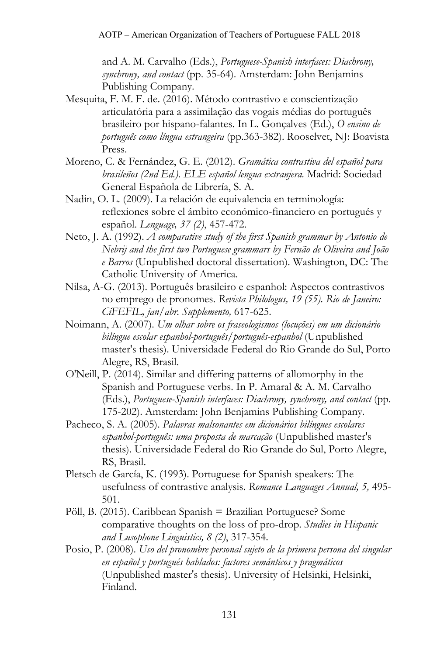and A. M. Carvalho (Eds.), *Portuguese-Spanish interfaces: Diachrony, synchrony, and contact* (pp. 35-64). Amsterdam: John Benjamins Publishing Company.

- Mesquita, F. M. F. de. (2016). Método contrastivo e conscientização articulatória para a assimilação das vogais médias do português brasileiro por hispano-falantes. In L. Gonçalves (Ed.), *O ensino de português como língua estrangeira* (pp.363-382). Rooselvet, NJ: Boavista Press.
- Moreno, C. & Fernández, G. E. (2012). *Gramática contrastiva del español para brasileños (2nd Ed.). ELE español lengua extranjera.* Madrid: Sociedad General Española de Librería, S. A.
- Nadin, O. L. (2009). La relación de equivalencia en terminología: reflexiones sobre el ámbito económico-financiero en portugués y español. *Lenguage, 37 (2)*, 457-472.
- Neto, J. A. (1992). *A comparative study of the first Spanish grammar by Antonio de Nebrij and the first two Portuguese grammars by Fernão de Oliveira and João e Barros* (Unpublished doctoral dissertation). Washington, DC: The Catholic University of America.
- Nilsa, A-G. (2013). Português brasileiro e espanhol: Aspectos contrastivos no emprego de pronomes. *Revista Philologus, 19 (55). Rio de Janeiro: CiFEFIL, jan/abr. Supplemento,* 617-625.
- Noimann, A. (2007). *Um olhar sobre os fraseologismos (locuções) em um dicionário bilíngue escolar espanhol-português/português-espanhol* (Unpublished master's thesis). Universidade Federal do Rio Grande do Sul, Porto Alegre, RS, Brasil.
- O'Neill, P. (2014). Similar and differing patterns of allomorphy in the Spanish and Portuguese verbs. In P. Amaral & A. M. Carvalho (Eds.), *Portuguese-Spanish interfaces: Diachrony, synchrony, and contact* (pp. 175-202). Amsterdam: John Benjamins Publishing Company.
- Pacheco, S. A. (2005). *Palavras malsonantes em dicionários bilíngues escolares espanhol-português: uma proposta de marcação* (Unpublished master's thesis). Universidade Federal do Rio Grande do Sul, Porto Alegre, RS, Brasil.
- Pletsch de García, K. (1993). Portuguese for Spanish speakers: The usefulness of contrastive analysis. *Romance Languages Annual, 5,* 495- 501.
- Pöll, B. (2015). Caribbean Spanish = Brazilian Portuguese? Some comparative thoughts on the loss of pro-drop. *Studies in Hispanic and Lusophone Linguistics, 8 (2)*, 317-354.
- Posio, P. (2008). *Uso del pronombre personal sujeto de la primera persona del singular en español y portugués hablados: factores semánticos y pragmáticos* (Unpublished master's thesis). University of Helsinki, Helsinki, Finland.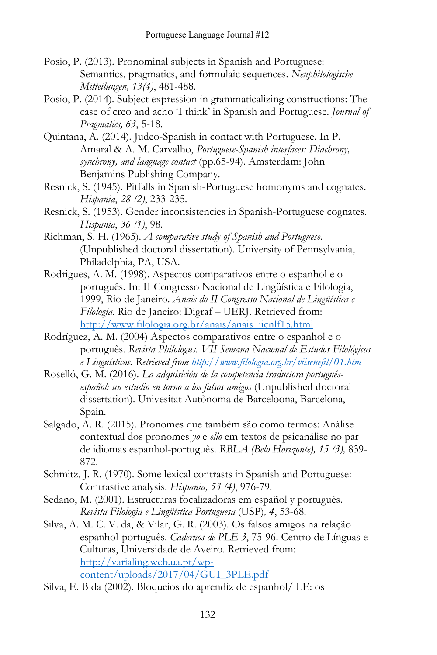- Posio, P. (2013). Pronominal subjects in Spanish and Portuguese: Semantics, pragmatics, and formulaic sequences. *Neuphilologische Mitteilungen, 13(4)*, 481-488.
- Posio, P. (2014). Subject expression in grammaticalizing constructions: The case of creo and acho 'I think' in Spanish and Portuguese. *Journal of Pragmatics, 63*, 5-18.
- Quintana, A. (2014). Judeo-Spanish in contact with Portuguese. In P. Amaral & A. M. Carvalho, *Portuguese-Spanish interfaces: Diachrony, synchrony, and language contact* (pp.65-94). Amsterdam: John Benjamins Publishing Company.
- Resnick, S. (1945). Pitfalls in Spanish-Portuguese homonyms and cognates. *Hispania*, *28 (2)*, 233-235.
- Resnick, S. (1953). Gender inconsistencies in Spanish-Portuguese cognates. *Hispania*, *36 (1)*, 98.
- Richman, S. H. (1965). *A comparative study of Spanish and Portuguese*. (Unpublished doctoral dissertation). University of Pennsylvania, Philadelphia, PA, USA.
- Rodrigues, A. M. (1998). Aspectos comparativos entre o espanhol e o português. In: II Congresso Nacional de Lingüística e Filologia, 1999, Rio de Janeiro. *Anais do II Congresso Nacional de Lingüística e Filologia*. Rio de Janeiro: Digraf – UERJ. Retrieved from: [http://www.filologia.org.br/anais/anais\\_iicnlf15.html](http://www.filologia.org.br/anais/anais_iicnlf15.html)
- Rodríguez, A. M. (2004) Aspectos comparativos entre o espanhol e o português. *Revista Philologus. VII Semana Nacional de Estudos Filológicos e Linguísticos. Retrieved from <http://www.filologia.org.br/viisenefil/01.htm>*
- Roselló, G. M. (2016). *La adquisición de la competencia traductora portuguésespañol: un estudio en torno a los falsos amigos* (Unpublished doctoral dissertation). Univesitat Autònoma de Barceloona, Barcelona, Spain.
- Salgado, A. R. (2015). Pronomes que também são como termos: Análise contextual dos pronomes *yo* e *ello* em textos de psicanálise no par de idiomas espanhol-português. *RBLA (Belo Horizonte), 15 (3),* 839- 872.
- Schmitz, J. R. (1970). Some lexical contrasts in Spanish and Portuguese: Contrastive analysis. *Hispania, 53 (4)*, 976-79.
- Sedano, M. (2001). Estructuras focalizadoras em español y portugués. *Revista Filologia e Lingüística Portuguesa* (USP)*, 4*, 53-68.
- Silva, A. M. C. V. da, & Vilar, G. R. (2003). Os falsos amigos na relação espanhol-português. *Cadernos de PLE 3*, 75-96. Centro de Línguas e Culturas, Universidade de Aveiro. Retrieved from: [http://varialing.web.ua.pt/wp](http://varialing.web.ua.pt/wp-content/uploads/2017/04/GUI_3PLE.pdf)[content/uploads/2017/04/GUI\\_3PLE.pdf](http://varialing.web.ua.pt/wp-content/uploads/2017/04/GUI_3PLE.pdf)
- Silva, E. B da (2002). Bloqueios do aprendiz de espanhol/ LE: os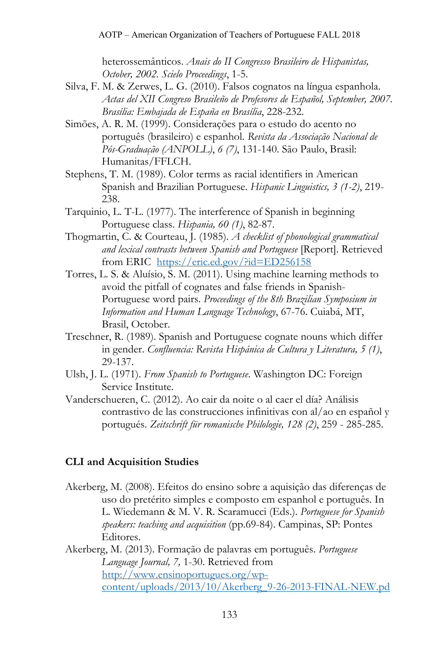heterossemânticos. *Anais do II Congresso Brasileiro de Hispanistas, October, 2002. Scielo Proceedings*, 1-5.

- Silva, F. M. & Zerwes, L. G. (2010). Falsos cognatos na língua espanhola. *Actas del XII Congreso Brasileño de Profesores de Español, September, 2007. Brasília: Embajada de España en Brasília*, 228-232.
- Simões, A. R. M. (1999). Considerações para o estudo do acento no português (brasileiro) e espanhol. *Revista da Associação Nacional de Pós-Graduação (ANPOLL)*, *6 (7)*, 131-140. São Paulo, Brasil: Humanitas/FFLCH.
- Stephens, T. M. (1989). Color terms as racial identifiers in American Spanish and Brazilian Portuguese. *Hispanic Linguistics, 3 (1-2)*, 219- 238.
- Tarquinio, L. T-L. (1977). The interference of Spanish in beginning Portuguese class. *Hispania, 60 (1)*, 82-87.
- Thogmartin, C. & Courteau, J. (1985). *A checklist of phonological grammatical and lexical contrasts between Spanish and Portuguese* [Report]. Retrieved from ERIC <https://eric.ed.gov/?id=ED256158>
- Torres, L. S. & Aluísio, S. M. (2011). Using machine learning methods to avoid the pitfall of cognates and false friends in Spanish-Portuguese word pairs. *Proceedings of the 8th Brazilian Symposium in Information and Human Language Technology*, 67-76. Cuiabá, MT, Brasil, October.
- Treschner, R. (1989). Spanish and Portuguese cognate nouns which differ in gender. *Confluencia: Revista Hispánica de Cultura y Literatura, 5 (1)*, 29-137.
- Ulsh, J. L. (1971). *From Spanish to Portuguese*. Washington DC: Foreign Service Institute.
- Vanderschueren, C. (2012). Ao cair da noite o al caer el día? Análisis contrastivo de las construcciones infinitivas con al/ao en español y portugués. *Zeitschrift für romanische Philologie, 128 (2)*, 259 - 285-285.

# **CLI and Acquisition Studies**

Akerberg, M. (2008). Efeitos do ensino sobre a aquisição das diferenças de uso do pretérito simples e composto em espanhol e português. In L. Wiedemann & M. V. R. Scaramucci (Eds.). *Portuguese for Spanish speakers: teaching and acquisition* (pp.69-84). Campinas, SP: Pontes Editores.

Akerberg, M. (2013). Formação de palavras em português. *Portuguese Language Journal, 7,* 1-30. Retrieved from [http://www.ensinoportugues.org/wp](http://www.ensinoportugues.org/wp-content/uploads/2013/10/Akerberg_9-26-2013-FINAL-NEW.pd)[content/uploads/2013/10/Akerberg\\_9-26-2013-FINAL-NEW.pd](http://www.ensinoportugues.org/wp-content/uploads/2013/10/Akerberg_9-26-2013-FINAL-NEW.pd)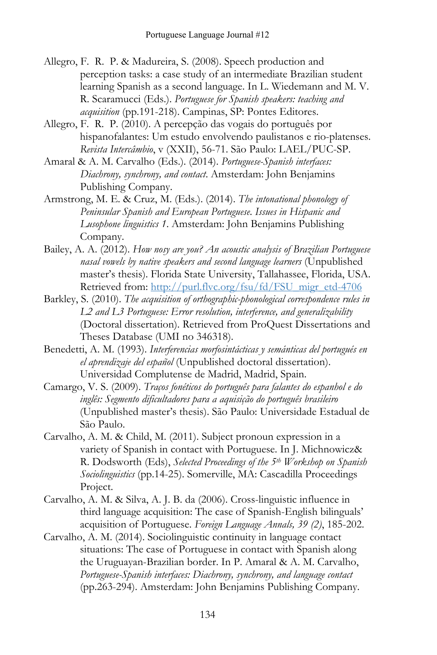- Allegro, F. R. P. & Madureira, S. (2008). Speech production and perception tasks: a case study of an intermediate Brazilian student learning Spanish as a second language. In L. Wiedemann and M. V. R. Scaramucci (Eds.). *Portuguese for Spanish speakers: teaching and acquisition* (pp.191-218). Campinas, SP: Pontes Editores.
- Allegro, F. R. P. (2010). A percepção das vogais do português por hispanofalantes: Um estudo envolvendo paulistanos e rio-platenses. *Revista Intercâmbio*, v (XXII), 56-71. São Paulo: LAEL/PUC-SP.
- Amaral & A. M. Carvalho (Eds.). (2014). *Portuguese-Spanish interfaces: Diachrony, synchrony, and contact*. Amsterdam: John Benjamins Publishing Company.
- Armstrong, M. E. & Cruz, M. (Eds.). (2014). *The intonational phonology of Peninsular Spanish and European Portuguese*. *Issues in Hispanic and Lusophone linguistics 1*. Amsterdam: John Benjamins Publishing Company.
- Bailey, A. A. (2012). *How nosy are you? An acoustic analysis of Brazilian Portuguese nasal vowels by native speakers and second language learners* (Unpublished master's thesis). Florida State University, Tallahassee, Florida, USA. Retrieved from: http://purl.flvc.org/fsu/fd/FSU\_migr\_etd-4706
- Barkley, S. (2010). *The acquisition of orthographic-phonological correspondence rules in L2 and L3 Portuguese: Error resolution, interference, and generalizability* (Doctoral dissertation). Retrieved from ProQuest Dissertations and Theses Database (UMI no 346318).
- Benedetti, A. M. (1993). *Interferencias morfosintácticas y semánticas del portugués en el aprendizaje del español* (Unpublished doctoral dissertation). Universidad Complutense de Madrid, Madrid, Spain.
- Camargo, V. S. (2009). *Traços fonéticos do português para falantes do espanhol e do inglês: Segmento dificultadores para a aquisição do português brasileiro* (Unpublished master's thesis). São Paulo: Universidade Estadual de São Paulo.
- Carvalho, A. M. & Child, M. (2011). Subject pronoun expression in a variety of Spanish in contact with Portuguese. In J. Michnowicz& R. Dodsworth (Eds), *Selected Proceedings of the 5th Workshop on Spanish Sociolinguistics* (pp.14-25). Somerville, MA: Cascadilla Proceedings Project.
- Carvalho, A. M. & Silva, A. J. B. da (2006). Cross-linguistic influence in third language acquisition: The case of Spanish-English bilinguals' acquisition of Portuguese. *Foreign Language Annals, 39 (2)*, 185-202.
- Carvalho, A. M. (2014). Sociolinguistic continuity in language contact situations: The case of Portuguese in contact with Spanish along the Uruguayan-Brazilian border. In P. Amaral & A. M. Carvalho, *Portuguese-Spanish interfaces: Diachrony, synchrony, and language contact* (pp.263-294). Amsterdam: John Benjamins Publishing Company.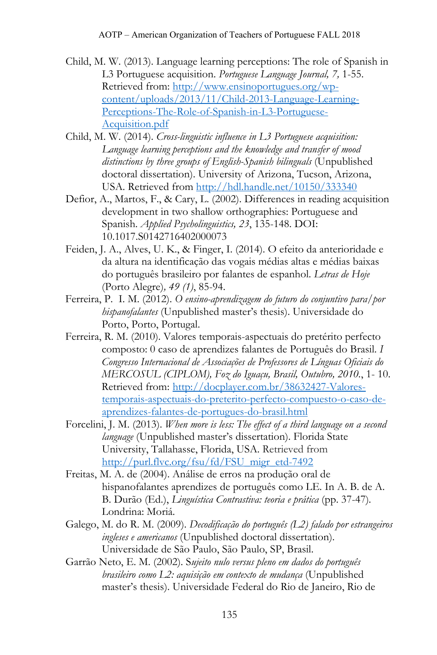- Child, M. W. (2013). Language learning perceptions: The role of Spanish in L3 Portuguese acquisition. *Portuguese Language Journal, 7,* 1-55. Retrieved from: [http://www.ensinoportugues.org/wp](http://www.ensinoportugues.org/wp-content/uploads/2013/11/Child-2013-Language-Learning-Perceptions-The-Role-of-Spanish-in-L3-Portuguese-Acquisition.pdf)[content/uploads/2013/11/Child-2013-Language-Learning-](http://www.ensinoportugues.org/wp-content/uploads/2013/11/Child-2013-Language-Learning-Perceptions-The-Role-of-Spanish-in-L3-Portuguese-Acquisition.pdf)[Perceptions-The-Role-of-Spanish-in-L3-Portuguese-](http://www.ensinoportugues.org/wp-content/uploads/2013/11/Child-2013-Language-Learning-Perceptions-The-Role-of-Spanish-in-L3-Portuguese-Acquisition.pdf)[Acquisition.pdf](http://www.ensinoportugues.org/wp-content/uploads/2013/11/Child-2013-Language-Learning-Perceptions-The-Role-of-Spanish-in-L3-Portuguese-Acquisition.pdf)
- Child, M. W. (2014). *Cross-linguistic influence in L3 Portuguese acquisition: Language learning perceptions and the knowledge and transfer of mood distinctions by three groups of English-Spanish bilinguals* (Unpublished doctoral dissertation). University of Arizona, Tucson, Arizona, USA. Retrieved from <http://hdl.handle.net/10150/333340>
- Defior, A., Martos, F., & Cary, L. (2002). Differences in reading acquisition development in two shallow orthographies: Portuguese and Spanish. *Applied Psycholinguistics, 23*, 135-148. DOI: 10.1017.S0142716402000073
- Feiden, J. A., Alves, U. K., & Finger, I. (2014). O efeito da anterioridade e da altura na identificação das vogais médias altas e médias baixas do português brasileiro por falantes de espanhol. *Letras de Hoje* (Porto Alegre)*, 49 (1)*, 85-94.
- Ferreira, P. I. M. (2012). *O ensino-aprendizagem do futuro do conjuntivo para/por hispanofalantes* (Unpublished master's thesis). Universidade do Porto, Porto, Portugal.
- Ferreira, R. M. (2010). Valores temporais-aspectuais do pretérito perfecto composto: 0 caso de aprendizes falantes de Português do Brasil. *I Congresso Internacional de Associações de Professores de Línguas Oficiais do MERCOSUL (CIPLOM), Foz do Iguaçu, Brasil, Outubro, 2010.*, 1- 10. Retrieved from: [http://docplayer.com.br/38632427-Valores](http://docplayer.com.br/38632427-Valores-temporais-aspectuais-do-preterito-perfecto-compuesto-o-caso-de-aprendizes-falantes-de-portugues-do-brasil.html)[temporais-aspectuais-do-preterito-perfecto-compuesto-o-caso-de](http://docplayer.com.br/38632427-Valores-temporais-aspectuais-do-preterito-perfecto-compuesto-o-caso-de-aprendizes-falantes-de-portugues-do-brasil.html)[aprendizes-falantes-de-portugues-do-brasil.html](http://docplayer.com.br/38632427-Valores-temporais-aspectuais-do-preterito-perfecto-compuesto-o-caso-de-aprendizes-falantes-de-portugues-do-brasil.html)
- Forcelini, J. M. (2013). *When more is less: The effect of a third language on a second language* (Unpublished master's dissertation). Florida State University, Tallahasse, Florida, USA. Retrieved from [http://purl.flvc.org/fsu/fd/FSU\\_migr\\_etd-7492](http://purl.flvc.org/fsu/fd/FSU_migr_etd-7492)
- Freitas, M. A. de (2004). Análise de erros na produção oral de hispanofalantes aprendizes de português como LE. In A. B. de A. B. Durão (Ed.), *Linguística Contrastiva: teoria e prática* (pp. 37-47)*.* Londrina: Moriá.
- Galego, M. do R. M. (2009). *Decodificação do português (L2) falado por estrangeiros ingleses e americanos* (Unpublished doctoral dissertation). Universidade de São Paulo, São Paulo, SP, Brasil.
- Garrão Neto, E. M. (2002). S*ujeito nulo versus pleno em dados do português brasileiro como L2: aquisição em contexto de mudança* (Unpublished master's thesis). Universidade Federal do Rio de Janeiro, Rio de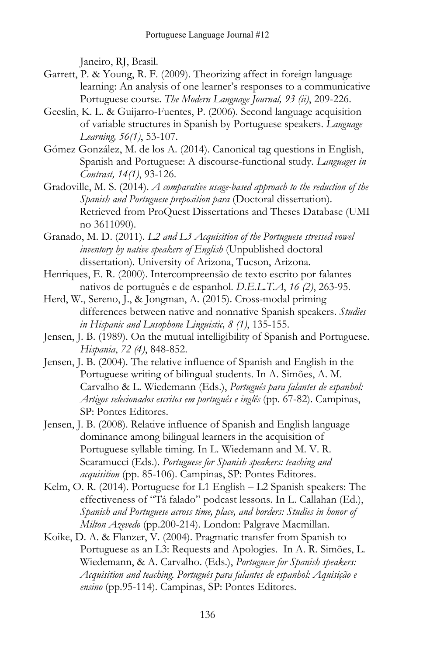Janeiro, RJ, Brasil.

- Garrett, P. & Young, R. F. (2009). Theorizing affect in foreign language learning: An analysis of one learner's responses to a communicative Portuguese course. *The Modern Language Journal, 93 (ii)*, 209-226.
- Geeslin, K. L. & Guijarro-Fuentes, P. (2006). Second language acquisition of variable structures in Spanish by Portuguese speakers. *Language Learning, 56(1)*, 53-107.
- Gómez González, M. de los A. (2014). Canonical tag questions in English, Spanish and Portuguese: A discourse-functional study. *Languages in Contrast, 14(1)*, 93-126.
- Gradoville, M. S. (2014). *A comparative usage-based approach to the reduction of the Spanish and Portuguese preposition para* (Doctoral dissertation). Retrieved from ProQuest Dissertations and Theses Database (UMI no 3611090).
- Granado, M. D. (2011). *L2 and L3 Acquisition of the Portuguese stressed vowel inventory by native speakers of English* (Unpublished doctoral dissertation). University of Arizona, Tucson, Arizona.
- Henriques, E. R. (2000). Intercompreensão de texto escrito por falantes nativos de português e de espanhol. *D.E.L.T.A*, *16 (2)*, 263-95.
- Herd, W., Sereno, J., & Jongman, A. (2015). Cross-modal priming differences between native and nonnative Spanish speakers. *Studies in Hispanic and Lusophone Linguistic, 8 (1)*, 135-155.
- Jensen, J. B. (1989). On the mutual intelligibility of Spanish and Portuguese. *Hispania*, *72 (4)*, 848-852.
- Jensen, J. B. (2004). The relative influence of Spanish and English in the Portuguese writing of bilingual students. In A. Simões, A. M. Carvalho & L. Wiedemann (Eds.), *Português para falantes de espanhol: Artigos selecionados escritos em português e inglês* (pp. 67-82). Campinas, SP: Pontes Editores.
- Jensen, J. B. (2008). Relative influence of Spanish and English language dominance among bilingual learners in the acquisition of Portuguese syllable timing. In L. Wiedemann and M. V. R. Scaramucci (Eds.). *Portuguese for Spanish speakers: teaching and acquisition* (pp. 85-106). Campinas, SP: Pontes Editores.
- Kelm, O. R. (2014). Portuguese for L1 English L2 Spanish speakers: The effectiveness of "Tá falado" podcast lessons. In L. Callahan (Ed.), *Spanish and Portuguese across time, place, and borders: Studies in honor of Milton Azevedo* (pp.200-214). London: Palgrave Macmillan.
- Koike, D. A. & Flanzer, V. (2004). Pragmatic transfer from Spanish to Portuguese as an L3: Requests and Apologies. In A. R. Simões, L. Wiedemann, & A. Carvalho. (Eds.), *Portuguese for Spanish speakers: Acquisition and teaching. Português para falantes de espanhol: Aquisição e ensino* (pp.95-114). Campinas, SP: Pontes Editores.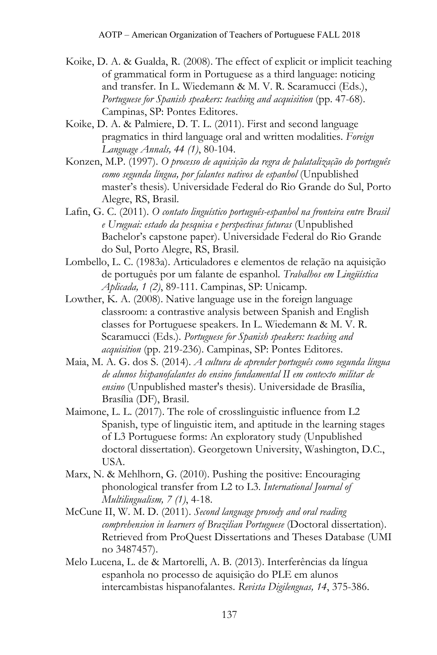- Koike, D. A. & Gualda, R. (2008). The effect of explicit or implicit teaching of grammatical form in Portuguese as a third language: noticing and transfer. In L. Wiedemann & M. V. R. Scaramucci (Eds.), *Portuguese for Spanish speakers: teaching and acquisition* (pp. 47-68). Campinas, SP: Pontes Editores.
- Koike, D. A. & Palmiere, D. T. L. (2011). First and second language pragmatics in third language oral and written modalities. *Foreign Language Annals, 44 (1)*, 80-104.
- Konzen, M.P. (1997). *O processo de aquisição da regra de palatalização do português como segunda língua, por falantes nativos de espanhol* (Unpublished master's thesis)*.* Universidade Federal do Rio Grande do Sul, Porto Alegre, RS, Brasil.
- Lafin, G. C. (2011). *O contato linguístico português-espanhol na fronteira entre Brasil e Uruguai: estado da pesquisa e perspectivas futuras* (Unpublished Bachelor's capstone paper). Universidade Federal do Rio Grande do Sul, Porto Alegre, RS, Brasil.
- Lombello, L. C. (1983a). Articuladores e elementos de relação na aquisição de português por um falante de espanhol. *Trabalhos em Lingüística Aplicada, 1 (2)*, 89-111. Campinas, SP: Unicamp.
- Lowther, K. A. (2008). Native language use in the foreign language classroom: a contrastive analysis between Spanish and English classes for Portuguese speakers. In L. Wiedemann & M. V. R. Scaramucci (Eds.). *Portuguese for Spanish speakers: teaching and acquisition* (pp. 219-236). Campinas, SP: Pontes Editores.
- Maia, M. A. G. dos S. (2014). *A cultura de aprender português como segunda língua de alunos hispanofalantes do ensino fundamental II em contexto militar de ensino* (Unpublished master's thesis). Universidade de Brasília, Brasília (DF), Brasil.
- Maimone, L. L. (2017). The role of crosslinguistic influence from L2 Spanish, type of linguistic item, and aptitude in the learning stages of L3 Portuguese forms: An exploratory study (Unpublished doctoral dissertation). Georgetown University, Washington, D.C., USA.
- Marx, N. & Mehlhorn, G. (2010). Pushing the positive: Encouraging phonological transfer from L2 to L3. *International Journal of Multilingualism, 7 (1)*, 4-18.
- McCune II, W. M. D. (2011). *Second language prosody and oral reading comprehension in learners of Brazilian Portuguese* (Doctoral dissertation). Retrieved from ProQuest Dissertations and Theses Database (UMI no 3487457).
- Melo Lucena, L. de & Martorelli, A. B. (2013). Interferências da língua espanhola no processo de aquisição do PLE em alunos intercambistas hispanofalantes. *Revista Digilenguas, 14*, 375-386.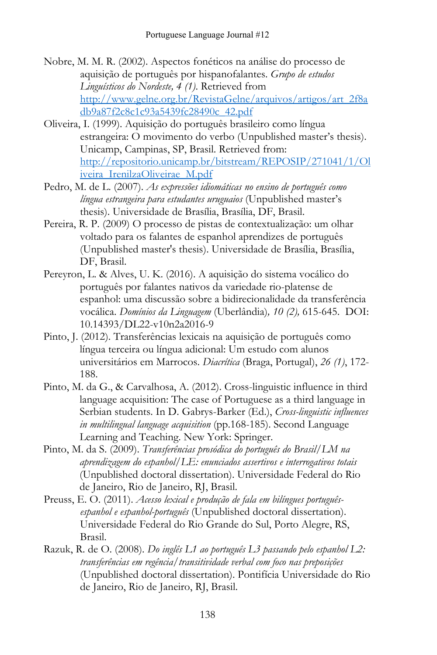- Nobre, M. M. R. (2002). Aspectos fonéticos na análise do processo de aquisição de português por hispanofalantes. *Grupo de estudos Linguísticos do Nordeste, 4 (1)*. Retrieved from [http://www.gelne.org.br/RevistaGelne/arquivos/artigos/art\\_2f8a](http://www.gelne.org.br/RevistaGelne/arquivos/artigos/art_2f8adb9a87f2c8c1c93a5439fc28490c_42.pdf) [db9a87f2c8c1c93a5439fc28490c\\_42.pdf](http://www.gelne.org.br/RevistaGelne/arquivos/artigos/art_2f8adb9a87f2c8c1c93a5439fc28490c_42.pdf)
- Oliveira, I. (1999). Aquisição do português brasileiro como língua estrangeira: O movimento do verbo (Unpublished master's thesis). Unicamp, Campinas, SP, Brasil. Retrieved from: [http://repositorio.unicamp.br/bitstream/REPOSIP/271041/1/Ol](http://repositorio.unicamp.br/bitstream/REPOSIP/271041/1/Oliveira_IrenilzaOliveirae_M.pdf) [iveira\\_IrenilzaOliveirae\\_M.pdf](http://repositorio.unicamp.br/bitstream/REPOSIP/271041/1/Oliveira_IrenilzaOliveirae_M.pdf)
- Pedro, M. de L. (2007). *As expressões idiomáticas no ensino de português como língua estrangeira para estudantes uruguaios* (Unpublished master's thesis). Universidade de Brasília, Brasília, DF, Brasil.
- Pereira, R. P. (2009) O processo de pistas de contextualização: um olhar voltado para os falantes de espanhol aprendizes de português (Unpublished master's thesis). Universidade de Brasília, Brasília, DF, Brasil.
- Pereyron, L. & Alves, U. K. (2016). A aquisição do sistema vocálico do português por falantes nativos da variedade rio-platense de espanhol: uma discussão sobre a bidirecionalidade da transferência vocálica. *Domínios da Linguagem* (Uberlândia)*, 10 (2),* 615-645. DOI: 10.14393/DL22-v10n2a2016-9
- Pinto, J. (2012). Transferências lexicais na aquisição de português como língua terceira ou língua adicional: Um estudo com alunos universitários em Marrocos. *Diacrítica* (Braga, Portugal), *26 (1)*, 172- 188.
- Pinto, M. da G., & Carvalhosa, A. (2012). Cross-linguistic influence in third language acquisition: The case of Portuguese as a third language in Serbian students. In D. Gabrys-Barker (Ed.), *Cross-linguistic influences in multilingual language acquisition* (pp.168-185). Second Language Learning and Teaching. New York: Springer.
- Pinto, M. da S. (2009). *Transferências prosódica do português do Brasil/LM na aprendizagem do espanhol/LE: enunciados assertivos e interrogativos totais* (Unpublished doctoral dissertation). Universidade Federal do Rio de Janeiro, Rio de Janeiro, RJ, Brasil.
- Preuss, E. O. (2011). *Acesso lexical e produção de fala em bilíngues portuguêsespanhol e espanhol-português* (Unpublished doctoral dissertation). Universidade Federal do Rio Grande do Sul, Porto Alegre, RS, Brasil.
- Razuk, R. de O. (2008). *Do inglês L1 ao português L3 passando pelo espanhol L2: transferências em regência/transitividade verbal com foco nas preposições* (Unpublished doctoral dissertation). Pontifícia Universidade do Rio de Janeiro, Rio de Janeiro, RJ, Brasil.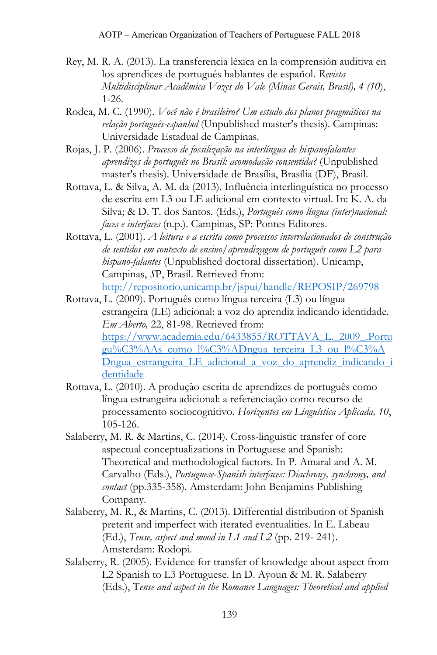- Rey, M. R. A. (2013). La transferencia léxica en la comprensión auditiva en los aprendices de portugués hablantes de español. *Revista Multidisciplinar Acadêmica Vozes do Vale (Minas Gerais, Brasil), 4 (10*), 1-26.
- Rodea, M. C. (1990). *Você não é brasileiro? Um estudo dos planos pragmáticos na relação português-espanhol* (Unpublished master's thesis). Campinas: Universidade Estadual de Campinas.
- Rojas, J. P. (2006). *Processo de fossilização na interlíngua de hispanofalantes aprendizes de português no Brasil: acomodação consentida?* (Unpublished master's thesis). Universidade de Brasília, Brasília (DF), Brasil.
- Rottava, L. & Silva, A. M. da (2013). Influência interlinguística no processo de escrita em L3 ou LE adicional em contexto virtual. In: K. A. da Silva; & D. T. dos Santos. (Eds.), *Português como língua (inter)nacional: faces e interfaces* (n.p.). Campinas, SP: Pontes Editores.
- Rottava, L. (2001). *A leitura e a escrita como processos interrelacionados de construção de sentidos em contexto de ensino/aprendizagem de português como L2 para hispano-falantes* (Unpublished doctoral dissertation). Unicamp, Campinas, *S*P, Brasil. Retrieved from: <http://repositorio.unicamp.br/jspui/handle/REPOSIP/269798>
- Rottava, L. (2009). Português como língua terceira (L3) ou língua estrangeira (LE) adicional: a voz do aprendiz indicando identidade. *Em Aberto,* 22, 81-98. Retrieved from: [https://www.academia.edu/6433855/ROTTAVA\\_L.\\_2009\\_.Portu](https://www.academia.edu/6433855/ROTTAVA_L._2009_.Portugu%C3%AAs_como_l%C3%ADngua_terceira_L3_ou_l%C3%ADngua_estrangeira_LE_adicional_a_voz_do_aprendiz_indicando_identidade) [gu%C3%AAs\\_como\\_l%C3%ADngua\\_terceira\\_L3\\_ou\\_l%C3%A](https://www.academia.edu/6433855/ROTTAVA_L._2009_.Portugu%C3%AAs_como_l%C3%ADngua_terceira_L3_ou_l%C3%ADngua_estrangeira_LE_adicional_a_voz_do_aprendiz_indicando_identidade) [Dngua\\_estrangeira\\_LE\\_adicional\\_a\\_voz\\_do\\_aprendiz\\_indicando\\_i](https://www.academia.edu/6433855/ROTTAVA_L._2009_.Portugu%C3%AAs_como_l%C3%ADngua_terceira_L3_ou_l%C3%ADngua_estrangeira_LE_adicional_a_voz_do_aprendiz_indicando_identidade) [dentidade](https://www.academia.edu/6433855/ROTTAVA_L._2009_.Portugu%C3%AAs_como_l%C3%ADngua_terceira_L3_ou_l%C3%ADngua_estrangeira_LE_adicional_a_voz_do_aprendiz_indicando_identidade)
- Rottava, L. (2010). A produção escrita de aprendizes de português como língua estrangeira adicional: a referenciação como recurso de processamento sociocognitivo. *Horizontes em Linguística Aplicada, 10*, 105-126.
- Salaberry, M. R. & Martins, C. (2014). Cross-linguistic transfer of core aspectual conceptualizations in Portuguese and Spanish: Theoretical and methodological factors. In P. Amaral and A. M. Carvalho (Eds.), *Portuguese-Spanish interfaces: Diachrony, synchrony, and contact* (pp.335-358). Amsterdam: John Benjamins Publishing Company.
- Salaberry, M. R., & Martins, C. (2013). Differential distribution of Spanish preterit and imperfect with iterated eventualities. In E. Labeau (Ed.), *Tense, aspect and mood in L1 and L2* (pp. 219- 241). Amsterdam: Rodopi.
- Salaberry, R. (2005). Evidence for transfer of knowledge about aspect from L2 Spanish to L3 Portuguese. In D. Ayoun & M. R. Salaberry (Eds.), T*ense and aspect in the Romance Languages: Theoretical and applied*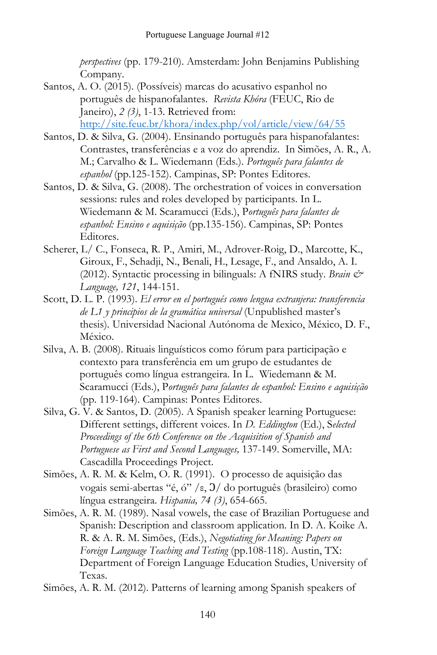*perspectives* (pp. 179-210). Amsterdam: John Benjamins Publishing Company.

- Santos, A. O. (2015). (Possíveis) marcas do acusativo espanhol no português de hispanofalantes. *Revista Khóra* (FEUC, Rio de Janeiro), *2 (3)*, 1-13. Retrieved from: <http://site.feuc.br/khora/index.php/vol/article/view/64/55>
- Santos, D. & Silva, G. (2004). Ensinando português para hispanofalantes: Contrastes, transferências e a voz do aprendiz. In Simões, A. R., A. M.; Carvalho & L. Wiedemann (Eds.). *Português para falantes de espanhol* (pp.125-152). Campinas, SP: Pontes Editores.
- Santos, D. & Silva, G. (2008). The orchestration of voices in conversation sessions: rules and roles developed by participants. In L. Wiedemann & M. Scaramucci (Eds.), P*ortuguês para falantes de espanhol: Ensino e aquisição* (pp.135-156). Campinas, SP: Pontes Editores.
- Scherer, L/ C., Fonseca, R. P., Amiri, M., Adrover-Roig, D., Marcotte, K., Giroux, F., Sehadji, N., Benali, H., Lesage, F., and Ansaldo, A. I. (2012). Syntactic processing in bilinguals: A fNIRS study. *Brain & Language, 121*, 144-151.
- Scott, D. L. P. (1993). *El error en el portugués como lengua extranjera: transferencia de L1 y principios de la gramática universal* (Unpublished master's thesis)*.* Universidad Nacional Autónoma de Mexico, México, D. F., México.
- Silva, A. B. (2008). Rituais linguísticos como fórum para participação e contexto para transferência em um grupo de estudantes de português como língua estrangeira. In L. Wiedemann & M. Scaramucci (Eds.), P*ortuguês para falantes de espanhol: Ensino e aquisição* (pp. 119-164). Campinas: Pontes Editores.
- Silva, G. V. & Santos, D. (2005). A Spanish speaker learning Portuguese: Different settings, different voices. In *D. Eddington* (Ed.), S*elected Proceedings of the 6th Conference on the Acquisition of Spanish and Portuguese as First and Second Languages,* 137-149. Somerville, MA: Cascadilla Proceedings Project.
- Simões, A. R. M. & Kelm, O. R. (1991). O processo de aquisição das vogais semi-abertas "é, ó" /ε, Ɔ/ do português (brasileiro) como língua estrangeira. *Hispania, 74 (3)*, 654-665.
- Simões, A. R. M. (1989). Nasal vowels, the case of Brazilian Portuguese and Spanish: Description and classroom application. In D. A. Koike A. R. & A. R. M. Simões, (Eds.), *Negotiating for Meaning: Papers on Foreign Language Teaching and Testing* (pp.108-118). Austin, TX: Department of Foreign Language Education Studies, University of Texas.
- Simões, A. R. M. (2012). Patterns of learning among Spanish speakers of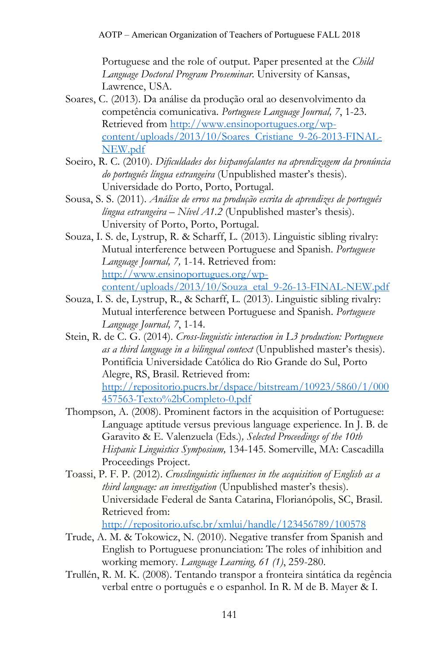Portuguese and the role of output. Paper presented at the *Child Language Doctoral Program Proseminar*. University of Kansas, Lawrence, USA.

- Soares, C. (2013). Da análise da produção oral ao desenvolvimento da competência comunicativa. *Portuguese Language Journal, 7*, 1-23. Retrieved from [http://www.ensinoportugues.org/wp](http://www.ensinoportugues.org/wp-content/uploads/2013/10/Soares_Cristiane_9-26-2013-FINAL-NEW.pdf)[content/uploads/2013/10/Soares\\_Cristiane\\_9-26-2013-FINAL-](http://www.ensinoportugues.org/wp-content/uploads/2013/10/Soares_Cristiane_9-26-2013-FINAL-NEW.pdf)[NEW.pdf](http://www.ensinoportugues.org/wp-content/uploads/2013/10/Soares_Cristiane_9-26-2013-FINAL-NEW.pdf)
- Soeiro, R. C. (2010). *Dificuldades dos hispanofalantes na aprendizagem da pronúncia do português língua estrangeira* (Unpublished master's thesis). Universidade do Porto, Porto, Portugal.
- Sousa, S. S. (2011). *Análise de erros na produção escrita de aprendizes de português língua estrangeira – Nível A1.2* (Unpublished master's thesis). University of Porto, Porto, Portugal.
- Souza, I. S. de, Lystrup, R. & Scharff, L. (2013). Linguistic sibling rivalry: Mutual interference between Portuguese and Spanish. *Portuguese Language Journal, 7,* 1-14. Retrieved from: [http://www.ensinoportugues.org/wp](http://www.ensinoportugues.org/wp-content/uploads/2013/10/Souza_etal_9-26-13-FINAL-NEW.pdf)[content/uploads/2013/10/Souza\\_etal\\_9-26-13-FINAL-NEW.pdf](http://www.ensinoportugues.org/wp-content/uploads/2013/10/Souza_etal_9-26-13-FINAL-NEW.pdf)
- Souza, I. S. de, Lystrup, R., & Scharff, L. (2013). Linguistic sibling rivalry: Mutual interference between Portuguese and Spanish. *Portuguese Language Journal, 7*, 1-14.
- Stein, R. de C. G. (2014). *Cross-linguistic interaction in L3 production: Portuguese as a third language in a bilingual context* (Unpublished master's thesis). Pontifícia Universidade Católica do Rio Grande do Sul, Porto Alegre, RS, Brasil. Retrieved from: [http://repositorio.pucrs.br/dspace/bitstream/10923/5860/1/000](http://repositorio.pucrs.br/dspace/bitstream/10923/5860/1/000457563-Texto%2bCompleto-0.pdf) [457563-Texto%2bCompleto-0.pdf](http://repositorio.pucrs.br/dspace/bitstream/10923/5860/1/000457563-Texto%2bCompleto-0.pdf)
- Thompson, A. (2008). Prominent factors in the acquisition of Portuguese: Language aptitude versus previous language experience. In J. B. de Garavito & E. Valenzuela (Eds.)*, Selected Proceedings of the 10th Hispanic Linguistics Symposium,* 134-145. Somerville, MA: Cascadilla Proceedings Project.
- Toassi, P. F. P. (2012). *Crosslinguistic influences in the acquisition of English as a third language: an investigation* (Unpublished master's thesis). Universidade Federal de Santa Catarina, Florianópolis, SC, Brasil. Retrieved from:

<http://repositorio.ufsc.br/xmlui/handle/123456789/100578>

- Trude, A. M. & Tokowicz, N. (2010). Negative transfer from Spanish and English to Portuguese pronunciation: The roles of inhibition and working memory. *Language Learning, 61 (1)*, 259-280.
- Trullén, R. M. K. (2008). Tentando transpor a fronteira sintática da regência verbal entre o português e o espanhol. In R. M de B. Mayer & I.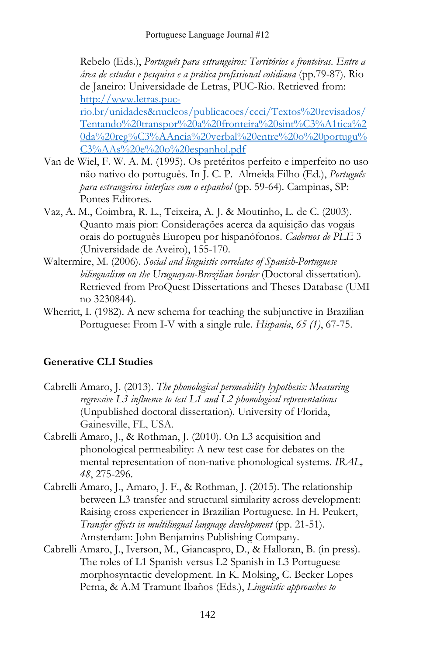Rebelo (Eds.), *Português para estrangeiros: Territórios e fronteiras. Entre a área de estudos e pesquisa e a prática profissional cotidiana* (pp.79-87). Rio de Janeiro: Universidade de Letras, PUC-Rio. Retrieved from: [http://www.letras.puc](http://www.letras.puc-rio.br/unidades&nucleos/publicacoes/ccci/Textos%20revisados/Tentando%20transpor%20a%20fronteira%20sint%C3%A1tica%20da%20reg%C3%AAncia%20verbal%20entre%20o%20portugu%C3%AAs%20e%20o%20espanhol.pdf)[rio.br/unidades&nucleos/publicacoes/ccci/Textos%20revisados/](http://www.letras.puc-rio.br/unidades&nucleos/publicacoes/ccci/Textos%20revisados/Tentando%20transpor%20a%20fronteira%20sint%C3%A1tica%20da%20reg%C3%AAncia%20verbal%20entre%20o%20portugu%C3%AAs%20e%20o%20espanhol.pdf) [Tentando%20transpor%20a%20fronteira%20sint%C3%A1tica%2](http://www.letras.puc-rio.br/unidades&nucleos/publicacoes/ccci/Textos%20revisados/Tentando%20transpor%20a%20fronteira%20sint%C3%A1tica%20da%20reg%C3%AAncia%20verbal%20entre%20o%20portugu%C3%AAs%20e%20o%20espanhol.pdf) [0da%20reg%C3%AAncia%20verbal%20entre%20o%20portugu%](http://www.letras.puc-rio.br/unidades&nucleos/publicacoes/ccci/Textos%20revisados/Tentando%20transpor%20a%20fronteira%20sint%C3%A1tica%20da%20reg%C3%AAncia%20verbal%20entre%20o%20portugu%C3%AAs%20e%20o%20espanhol.pdf) [C3%AAs%20e%20o%20espanhol.pdf](http://www.letras.puc-rio.br/unidades&nucleos/publicacoes/ccci/Textos%20revisados/Tentando%20transpor%20a%20fronteira%20sint%C3%A1tica%20da%20reg%C3%AAncia%20verbal%20entre%20o%20portugu%C3%AAs%20e%20o%20espanhol.pdf)

- Van de Wiel, F. W. A. M. (1995). Os pretéritos perfeito e imperfeito no uso não nativo do português. In J. C. P. Almeida Filho (Ed.), *Português para estrangeiros interface com o espanhol* (pp. 59-64)*.* Campinas, SP: Pontes Editores.
- Vaz, A. M., Coimbra, R. L., Teixeira, A. J. & Moutinho, L. de C. (2003). Quanto mais pior: Considerações acerca da aquisição das vogais orais do português Europeu por hispanófonos. *Cadernos de PLE* 3 (Universidade de Aveiro), 155-170.
- Waltermire, M. (2006). *Social and linguistic correlates of Spanish-Portuguese bilingualism on the Uruguayan-Brazilian border* (Doctoral dissertation). Retrieved from ProQuest Dissertations and Theses Database (UMI no 3230844).
- Wherritt, I. (1982). A new schema for teaching the subjunctive in Brazilian Portuguese: From I-V with a single rule. *Hispania*, *65 (1)*, 67-75.

## **Generative CLI Studies**

- Cabrelli Amaro, J. (2013). *The phonological permeability hypothesis: Measuring regressive L3 influence to test L1 and L2 phonological representations* (Unpublished doctoral dissertation). University of Florida, Gainesville, FL, USA.
- Cabrelli Amaro, J., & Rothman, J. (2010). On L3 acquisition and phonological permeability: A new test case for debates on the mental representation of non-native phonological systems. *IRAL, 48*, 275-296.
- Cabrelli Amaro, J., Amaro, J. F., & Rothman, J. (2015). The relationship between L3 transfer and structural similarity across development: Raising cross experiencer in Brazilian Portuguese. In H. Peukert, *Transfer effects in multilingual language development* (pp. 21-51). Amsterdam: John Benjamins Publishing Company.
- Cabrelli Amaro, J., Iverson, M., Giancaspro, D., & Halloran, B. (in press). The roles of L1 Spanish versus L2 Spanish in L3 Portuguese morphosyntactic development. In K. Molsing, C. Becker Lopes Perna, & A.M Tramunt Ibaños (Eds.), *Linguistic approaches to*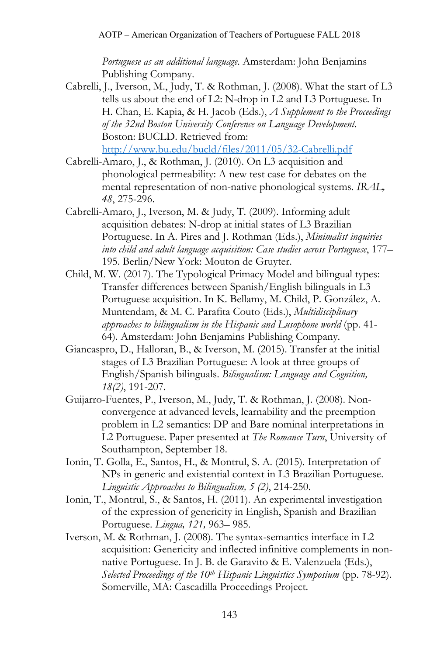*Portuguese as an additional language*. Amsterdam: John Benjamins Publishing Company.

- Cabrelli, J., Iverson, M., Judy, T. & Rothman, J. (2008). What the start of L3 tells us about the end of L2: N-drop in L2 and L3 Portuguese. In H. Chan, E. Kapia, & H. Jacob (Eds.), *A Supplement to the Proceedings of the 32nd Boston University Conference on Language Development*. Boston: BUCLD. Retrieved from: <http://www.bu.edu/bucld/files/2011/05/32-Cabrelli.pdf>
- Cabrelli-Amaro, J., & Rothman, J. (2010). On L3 acquisition and phonological permeability: A new test case for debates on the mental representation of non-native phonological systems. *IRAL, 48*, 275-296.
- Cabrelli-Amaro, J., Iverson, M. & Judy, T. (2009). Informing adult acquisition debates: N-drop at initial states of L3 Brazilian Portuguese. In A. Pires and J. Rothman (Eds.), *Minimalist inquiries into child and adult language acquisition: Case studies across Portuguese*, 177– 195. Berlin/New York: Mouton de Gruyter.
- Child, M. W. (2017). The Typological Primacy Model and bilingual types: Transfer differences between Spanish/English bilinguals in L3 Portuguese acquisition. In K. Bellamy, M. Child, P. González, A. Muntendam, & M. C. Parafita Couto (Eds.), *Multidisciplinary approaches to bilingualism in the Hispanic and Lusophone world* (pp. 41- 64). Amsterdam: John Benjamins Publishing Company.
- Giancaspro, D., Halloran, B., & Iverson, M. (2015). Transfer at the initial stages of L3 Brazilian Portuguese: A look at three groups of English/Spanish bilinguals. *Bilingualism: Language and Cognition, 18(2)*, 191-207.
- Guijarro-Fuentes, P., Iverson, M., Judy, T. & Rothman, J. (2008). Nonconvergence at advanced levels, learnability and the preemption problem in L2 semantics: DP and Bare nominal interpretations in L2 Portuguese. Paper presented at *The Romance Turn*, University of Southampton, September 18.
- Ionin, T. Golla, E., Santos, H., & Montrul, S. A. (2015). Interpretation of NPs in generic and existential context in L3 Brazilian Portuguese. *Linguistic Approaches to Bilingualism, 5 (2)*, 214-250.
- Ionin, T., Montrul, S., & Santos, H. (2011). An experimental investigation of the expression of genericity in English, Spanish and Brazilian Portuguese. *Lingua, 121,* 963– 985.
- Iverson, M. & Rothman, J. (2008). The syntax-semantics interface in L2 acquisition: Genericity and inflected infinitive complements in nonnative Portuguese. In J. B. de Garavito & E. Valenzuela (Eds.), *Selected Proceedings of the 10th Hispanic Linguistics Symposium* (pp. 78-92). Somerville, MA: Cascadilla Proceedings Project.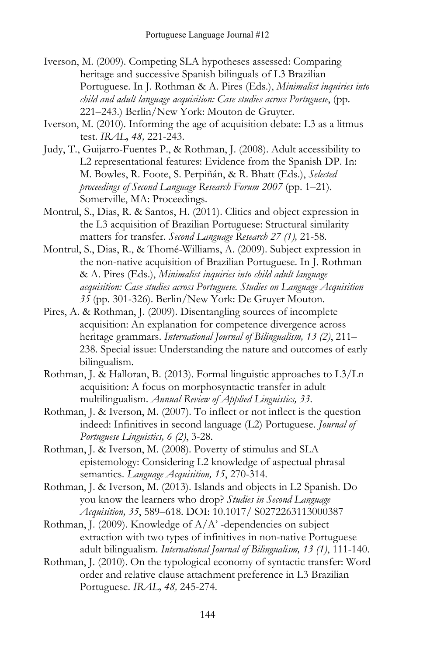- Iverson, M. (2009). Competing SLA hypotheses assessed: Comparing heritage and successive Spanish bilinguals of L3 Brazilian Portuguese. In J. Rothman & A. Pires (Eds.), *Minimalist inquiries into child and adult language acquisition: Case studies across Portuguese*, (pp. 221–243.) Berlin/New York: Mouton de Gruyter.
- Iverson, M. (2010). Informing the age of acquisition debate: L3 as a litmus test. *IRAL, 48,* 221-243.
- Judy, T., Guijarro-Fuentes P., & Rothman, J. (2008). Adult accessibility to L2 representational features: Evidence from the Spanish DP. In: M. Bowles, R. Foote, S. Perpiñán, & R. Bhatt (Eds.), *Selected proceedings of Second Language Research Forum 2007* (pp. 1–21). Somerville, MA: Proceedings.
- Montrul, S., Dias, R. & Santos, H. (2011). Clitics and object expression in the L3 acquisition of Brazilian Portuguese: Structural similarity matters for transfer. *Second Language Research 27 (1),* 21-58.
- Montrul, S., Dias, R., & Thomé-Williams, A. (2009). Subject expression in the non-native acquisition of Brazilian Portuguese. In J. Rothman & A. Pires (Eds.), *Minimalist inquiries into child adult language acquisition: Case studies across Portuguese. Studies on Language Acquisition 35* (pp. 301-326). Berlin/New York: De Gruyer Mouton.
- Pires, A. & Rothman, J. (2009). Disentangling sources of incomplete acquisition: An explanation for competence divergence across heritage grammars. *International Journal of Bilingualism, 13 (2)*, 211– 238. Special issue: Understanding the nature and outcomes of early bilingualism.
- Rothman, J. & Halloran, B. (2013). Formal linguistic approaches to L3/Ln acquisition: A focus on morphosyntactic transfer in adult multilingualism. *Annual Review of Applied Linguistics, 33*.
- Rothman, J. & Iverson, M. (2007). To inflect or not inflect is the question indeed: Infinitives in second language (L2) Portuguese. *Journal of Portuguese Linguistics, 6 (2)*, 3-28.
- Rothman, J. & Iverson, M. (2008). Poverty of stimulus and SLA epistemology: Considering L2 knowledge of aspectual phrasal semantics. *Language Acquisition, 15*, 270-314.
- Rothman, J. & Iverson, M. (2013). Islands and objects in L2 Spanish. Do you know the learners who drop? *Studies in Second Language Acquisition, 35*, 589–618. DOI: 10.1017/ S0272263113000387
- Rothman, J. (2009). Knowledge of  $A/A$ <sup>2</sup> -dependencies on subject extraction with two types of infinitives in non-native Portuguese adult bilingualism. *International Journal of Bilingualism, 13 (1)*, 111-140.
- Rothman, J. (2010). On the typological economy of syntactic transfer: Word order and relative clause attachment preference in L3 Brazilian Portuguese. *IRAL, 48,* 245-274.